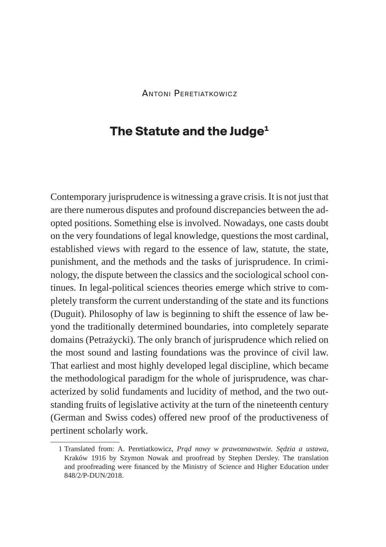## **The Statute and the Judge1**

Contemporary jurisprudence is witnessing a grave crisis. It is not just that are there numerous disputes and profound discrepancies between the adopted positions. Something else is involved. Nowadays, one casts doubt on the very foundations of legal knowledge, questions the most cardinal, established views with regard to the essence of law, statute, the state, punishment, and the methods and the tasks of jurisprudence. In criminology, the dispute between the classics and the sociological school continues. In legal-political sciences theories emerge which strive to completely transform the current understanding of the state and its functions (Duguit). Philosophy of law is beginning to shift the essence of law beyond the traditionally determined boundaries, into completely separate domains (Petrażycki). The only branch of jurisprudence which relied on the most sound and lasting foundations was the province of civil law. That earliest and most highly developed legal discipline, which became the methodological paradigm for the whole of jurisprudence, was characterized by solid fundaments and lucidity of method, and the two outstanding fruits of legislative activity at the turn of the nineteenth century (German and Swiss codes) offered new proof of the productiveness of pertinent scholarly work.

<sup>1</sup> Translated from: A. Peretiatkowicz, *Prąd nowy w prawoznawstwie. Sędzia a ustawa*, Kraków 1916 by Szymon Nowak and proofread by Stephen Dersley. The translation and proofreading were financed by the Ministry of Science and Higher Education under 848/2/P-DUN/2018.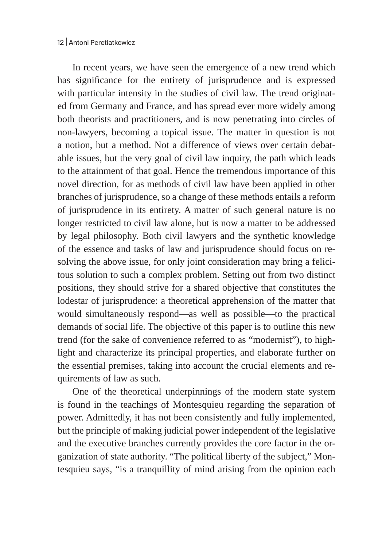In recent years, we have seen the emergence of a new trend which has significance for the entirety of jurisprudence and is expressed with particular intensity in the studies of civil law. The trend originated from Germany and France, and has spread ever more widely among both theorists and practitioners, and is now penetrating into circles of non-lawyers, becoming a topical issue. The matter in question is not a notion, but a method. Not a difference of views over certain debatable issues, but the very goal of civil law inquiry, the path which leads to the attainment of that goal. Hence the tremendous importance of this novel direction, for as methods of civil law have been applied in other branches of jurisprudence, so a change of these methods entails a reform of jurisprudence in its entirety. A matter of such general nature is no longer restricted to civil law alone, but is now a matter to be addressed by legal philosophy. Both civil lawyers and the synthetic knowledge of the essence and tasks of law and jurisprudence should focus on resolving the above issue, for only joint consideration may bring a felicitous solution to such a complex problem. Setting out from two distinct positions, they should strive for a shared objective that constitutes the lodestar of jurisprudence: a theoretical apprehension of the matter that would simultaneously respond—as well as possible—to the practical demands of social life. The objective of this paper is to outline this new trend (for the sake of convenience referred to as "modernist"), to highlight and characterize its principal properties, and elaborate further on the essential premises, taking into account the crucial elements and requirements of law as such.

One of the theoretical underpinnings of the modern state system is found in the teachings of Montesquieu regarding the separation of power. Admittedly, it has not been consistently and fully implemented, but the principle of making judicial power independent of the legislative and the executive branches currently provides the core factor in the organization of state authority. "The political liberty of the subject," Montesquieu says, "is a tranquillity of mind arising from the opinion each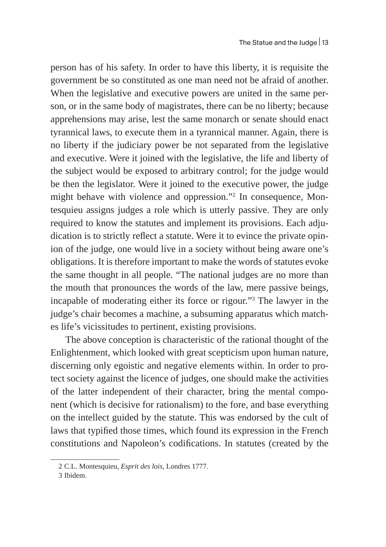person has of his safety. In order to have this liberty, it is requisite the government be so constituted as one man need not be afraid of another. When the legislative and executive powers are united in the same person, or in the same body of magistrates, there can be no liberty; because apprehensions may arise, lest the same monarch or senate should enact tyrannical laws, to execute them in a tyrannical manner. Again, there is no liberty if the judiciary power be not separated from the legislative and executive. Were it joined with the legislative, the life and liberty of the subject would be exposed to arbitrary control; for the judge would be then the legislator. Were it joined to the executive power, the judge might behave with violence and oppression."2 In consequence, Montesquieu assigns judges a role which is utterly passive. They are only required to know the statutes and implement its provisions. Each adjudication is to strictly reflect a statute. Were it to evince the private opinion of the judge, one would live in a society without being aware one's obligations. It is therefore important to make the words of statutes evoke the same thought in all people. "The national judges are no more than the mouth that pronounces the words of the law, mere passive beings, incapable of moderating either its force or rigour."3 The lawyer in the judge's chair becomes a machine, a subsuming apparatus which matches life's vicissitudes to pertinent, existing provisions.

The above conception is characteristic of the rational thought of the Enlightenment, which looked with great scepticism upon human nature, discerning only egoistic and negative elements within. In order to protect society against the licence of judges, one should make the activities of the latter independent of their character, bring the mental component (which is decisive for rationalism) to the fore, and base everything on the intellect guided by the statute. This was endorsed by the cult of laws that typified those times, which found its expression in the French constitutions and Napoleon's codifications. In statutes (created by the

<sup>2</sup> C.L. Montesquieu, *Esprit des lois*, Londres 1777.

<sup>3</sup> Ibidem.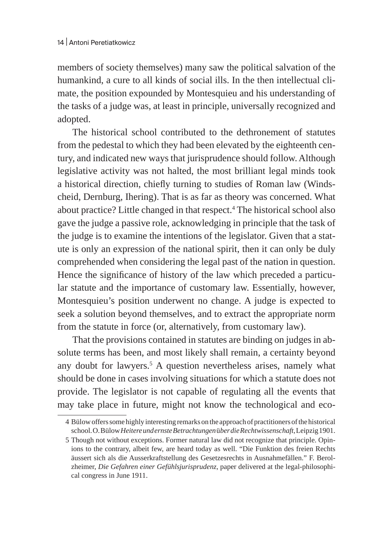members of society themselves) many saw the political salvation of the humankind, a cure to all kinds of social ills. In the then intellectual climate, the position expounded by Montesquieu and his understanding of the tasks of a judge was, at least in principle, universally recognized and adopted.

The historical school contributed to the dethronement of statutes from the pedestal to which they had been elevated by the eighteenth century, and indicated new ways that jurisprudence should follow. Although legislative activity was not halted, the most brilliant legal minds took a historical direction, chiefly turning to studies of Roman law (Windscheid, Dernburg, Ihering). That is as far as theory was concerned. What about practice? Little changed in that respect.4 The historical school also gave the judge a passive role, acknowledging in principle that the task of the judge is to examine the intentions of the legislator. Given that a statute is only an expression of the national spirit, then it can only be duly comprehended when considering the legal past of the nation in question. Hence the significance of history of the law which preceded a particular statute and the importance of customary law. Essentially, however, Montesquieu's position underwent no change. A judge is expected to seek a solution beyond themselves, and to extract the appropriate norm from the statute in force (or, alternatively, from customary law).

That the provisions contained in statutes are binding on judges in absolute terms has been, and most likely shall remain, a certainty beyond any doubt for lawyers.<sup>5</sup> A question nevertheless arises, namely what should be done in cases involving situations for which a statute does not provide. The legislator is not capable of regulating all the events that may take place in future, might not know the technological and eco-

<sup>4</sup> Bülow offers some highly interesting remarks on the approach of practitioners of the historical school. O.Bülow *Heitere und ernste Betrachtungen* ü*ber die Rechtwissenschaft*,Leipzig 1901.

<sup>5</sup> Though not without exceptions. Former natural law did not recognize that principle. Opinions to the contrary, albeit few, are heard today as well. "Die Funktion des freien Rechts äussert sich als die Ausserkraftstellung des Gesetzesrechts in Ausnahmefällen." F. Berolzheimer, *Die Gefahren einer Gefühlsjurisprudenz*, paper delivered at the legal-philosophical congress in June 1911.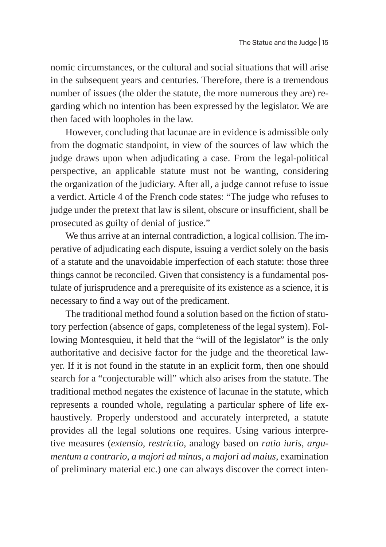nomic circumstances, or the cultural and social situations that will arise in the subsequent years and centuries. Therefore, there is a tremendous number of issues (the older the statute, the more numerous they are) regarding which no intention has been expressed by the legislator. We are then faced with loopholes in the law.

However, concluding that lacunae are in evidence is admissible only from the dogmatic standpoint, in view of the sources of law which the judge draws upon when adjudicating a case. From the legal-political perspective, an applicable statute must not be wanting, considering the organization of the judiciary. After all, a judge cannot refuse to issue a verdict. Article 4 of the French code states: "The judge who refuses to judge under the pretext that law is silent, obscure or insufficient, shall be prosecuted as guilty of denial of justice."

We thus arrive at an internal contradiction, a logical collision. The imperative of adjudicating each dispute, issuing a verdict solely on the basis of a statute and the unavoidable imperfection of each statute: those three things cannot be reconciled. Given that consistency is a fundamental postulate of jurisprudence and a prerequisite of its existence as a science, it is necessary to find a way out of the predicament.

The traditional method found a solution based on the fiction of statutory perfection (absence of gaps, completeness of the legal system). Following Montesquieu, it held that the "will of the legislator" is the only authoritative and decisive factor for the judge and the theoretical lawyer. If it is not found in the statute in an explicit form, then one should search for a "conjecturable will" which also arises from the statute. The traditional method negates the existence of lacunae in the statute, which represents a rounded whole, regulating a particular sphere of life exhaustively. Properly understood and accurately interpreted, a statute provides all the legal solutions one requires. Using various interpretive measures (*extensio*, *restrictio*, analogy based on *ratio iuris*, *argumentum a contrario*, *a majori ad minus*, *a majori ad maius*, examination of preliminary material etc.) one can always discover the correct inten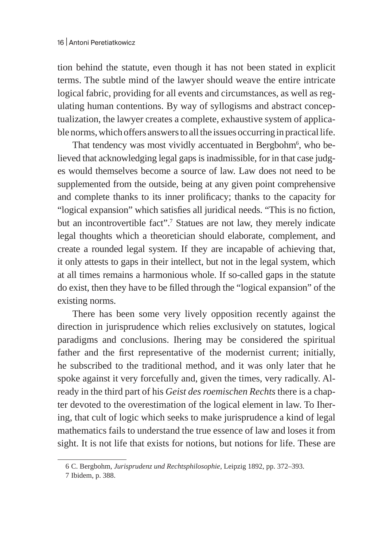tion behind the statute, even though it has not been stated in explicit terms. The subtle mind of the lawyer should weave the entire intricate logical fabric, providing for all events and circumstances, as well as regulating human contentions. By way of syllogisms and abstract conceptualization, the lawyer creates a complete, exhaustive system of applicable norms, which offers answers to all the issues occurring in practical life.

That tendency was most vividly accentuated in Bergbohm $^6$ , who believed that acknowledging legal gaps is inadmissible, for in that case judges would themselves become a source of law. Law does not need to be supplemented from the outside, being at any given point comprehensive and complete thanks to its inner prolificacy; thanks to the capacity for "logical expansion" which satisfies all juridical needs. "This is no fiction, but an incontrovertible fact".<sup>7</sup> Statues are not law, they merely indicate legal thoughts which a theoretician should elaborate, complement, and create a rounded legal system. If they are incapable of achieving that, it only attests to gaps in their intellect, but not in the legal system, which at all times remains a harmonious whole. If so-called gaps in the statute do exist, then they have to be filled through the "logical expansion" of the existing norms.

There has been some very lively opposition recently against the direction in jurisprudence which relies exclusively on statutes, logical paradigms and conclusions. Ihering may be considered the spiritual father and the first representative of the modernist current; initially, he subscribed to the traditional method, and it was only later that he spoke against it very forcefully and, given the times, very radically. Already in the third part of his *Geist des roemischen Rechts* there is a chapter devoted to the overestimation of the logical element in law. To Ihering, that cult of logic which seeks to make jurisprudence a kind of legal mathematics fails to understand the true essence of law and loses it from sight. It is not life that exists for notions, but notions for life. These are

<sup>6</sup> C. Bergbohm, *Jurisprudenz und Rechtsphilosophie*, Leipzig 1892, pp. 372–393.

<sup>7</sup> Ibidem, p. 388.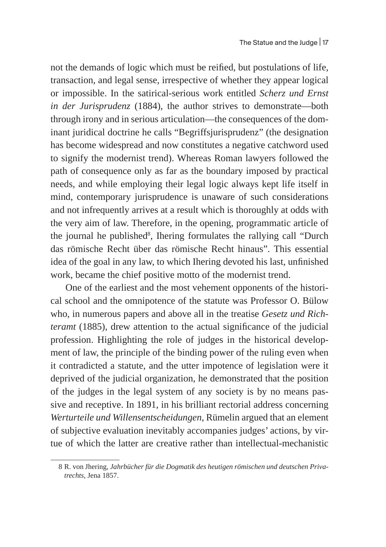not the demands of logic which must be reified, but postulations of life, transaction, and legal sense, irrespective of whether they appear logical or impossible. In the satirical-serious work entitled *Scherz und Ernst in der Jurisprudenz* (1884), the author strives to demonstrate—both through irony and in serious articulation—the consequences of the dominant juridical doctrine he calls "Begriffsjurisprudenz" (the designation has become widespread and now constitutes a negative catchword used to signify the modernist trend). Whereas Roman lawyers followed the path of consequence only as far as the boundary imposed by practical needs, and while employing their legal logic always kept life itself in mind, contemporary jurisprudence is unaware of such considerations and not infrequently arrives at a result which is thoroughly at odds with the very aim of law. Therefore, in the opening, programmatic article of the journal he published<sup>8</sup>, Ihering formulates the rallying call "Durch das römische Recht über das römische Recht hinaus". This essential idea of the goal in any law, to which Ihering devoted his last, unfinished work, became the chief positive motto of the modernist trend.

One of the earliest and the most vehement opponents of the historical school and the omnipotence of the statute was Professor O. Bülow who, in numerous papers and above all in the treatise *Gesetz und Richteramt* (1885), drew attention to the actual significance of the judicial profession. Highlighting the role of judges in the historical development of law, the principle of the binding power of the ruling even when it contradicted a statute, and the utter impotence of legislation were it deprived of the judicial organization, he demonstrated that the position of the judges in the legal system of any society is by no means passive and receptive. In 1891, in his brilliant rectorial address concerning *Werturteile und Willensentscheidungen*, Rümelin argued that an element of subjective evaluation inevitably accompanies judges' actions, by virtue of which the latter are creative rather than intellectual-mechanistic

<sup>8</sup> R. von Jhering, *Jahrbücher für die Dogmatik des heutigen römischen und deutschen Privatrechts*, Jena 1857.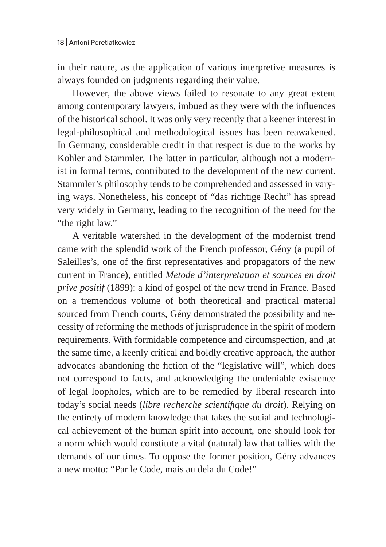in their nature, as the application of various interpretive measures is always founded on judgments regarding their value.

However, the above views failed to resonate to any great extent among contemporary lawyers, imbued as they were with the influences of the historical school. It was only very recently that a keener interest in legal-philosophical and methodological issues has been reawakened. In Germany, considerable credit in that respect is due to the works by Kohler and Stammler. The latter in particular, although not a modernist in formal terms, contributed to the development of the new current. Stammler's philosophy tends to be comprehended and assessed in varying ways. Nonetheless, his concept of "das richtige Recht" has spread very widely in Germany, leading to the recognition of the need for the "the right law."

A veritable watershed in the development of the modernist trend came with the splendid work of the French professor, Gény (a pupil of Saleilles's, one of the first representatives and propagators of the new current in France), entitled *Metode d'interpretation et sources en droit prive positif* (1899): a kind of gospel of the new trend in France. Based on a tremendous volume of both theoretical and practical material sourced from French courts, Gény demonstrated the possibility and necessity of reforming the methods of jurisprudence in the spirit of modern requirements. With formidable competence and circumspection, and ,at the same time, a keenly critical and boldly creative approach, the author advocates abandoning the fiction of the "legislative will", which does not correspond to facts, and acknowledging the undeniable existence of legal loopholes, which are to be remedied by liberal research into today's social needs (*libre recherche scientifique du droit*). Relying on the entirety of modern knowledge that takes the social and technological achievement of the human spirit into account, one should look for a norm which would constitute a vital (natural) law that tallies with the demands of our times. To oppose the former position, Gény advances a new motto: "Par le Code, mais au dela du Code!"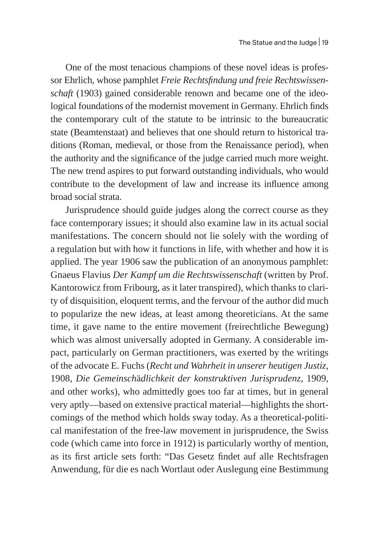One of the most tenacious champions of these novel ideas is professor Ehrlich, whose pamphlet *Freie Rechtsfindung und freie Rechtswissenschaft* (1903) gained considerable renown and became one of the ideological foundations of the modernist movement in Germany. Ehrlich finds the contemporary cult of the statute to be intrinsic to the bureaucratic state (Beamtenstaat) and believes that one should return to historical traditions (Roman, medieval, or those from the Renaissance period), when the authority and the significance of the judge carried much more weight. The new trend aspires to put forward outstanding individuals, who would contribute to the development of law and increase its influence among broad social strata.

Jurisprudence should guide judges along the correct course as they face contemporary issues; it should also examine law in its actual social manifestations. The concern should not lie solely with the wording of a regulation but with how it functions in life, with whether and how it is applied. The year 1906 saw the publication of an anonymous pamphlet: Gnaeus Flavius *Der Kampf um die Rechtswissenschaft* (written by Prof. Kantorowicz from Fribourg, as it later transpired), which thanks to clarity of disquisition, eloquent terms, and the fervour of the author did much to popularize the new ideas, at least among theoreticians. At the same time, it gave name to the entire movement (freirechtliche Bewegung) which was almost universally adopted in Germany. A considerable impact, particularly on German practitioners, was exerted by the writings of the advocate E. Fuchs (*Recht und Wahrheit in unserer heutigen Justiz*, 1908, *Die Gemeinsch*ä*dlichkeit der konstruktiven Jurisprudenz*, 1909, and other works), who admittedly goes too far at times, but in general very aptly—based on extensive practical material—highlights the shortcomings of the method which holds sway today. As a theoretical-political manifestation of the free-law movement in jurisprudence, the Swiss code (which came into force in 1912) is particularly worthy of mention, as its first article sets forth: "Das Gesetz findet auf alle Rechtsfragen Anwendung, für die es nach Wortlaut oder Auslegung eine Bestimmung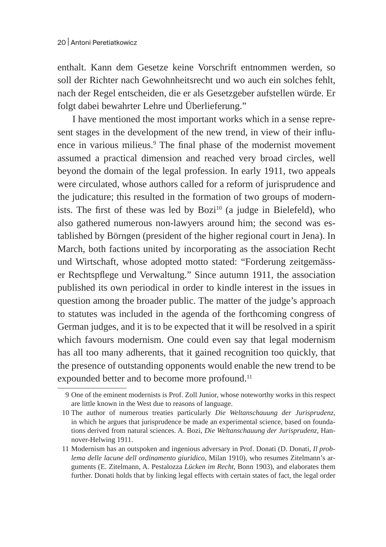enthalt. Kann dem Gesetze keine Vorschrift entnommen werden, so soll der Richter nach Gewohnheitsrecht und wo auch ein solches fehlt, nach der Regel entscheiden, die er als Gesetzgeber aufstellen würde. Er folgt dabei bewahrter Lehre und Überlieferung."

I have mentioned the most important works which in a sense represent stages in the development of the new trend, in view of their influence in various milieus.<sup>9</sup> The final phase of the modernist movement assumed a practical dimension and reached very broad circles, well beyond the domain of the legal profession. In early 1911, two appeals were circulated, whose authors called for a reform of jurisprudence and the judicature; this resulted in the formation of two groups of modernists. The first of these was led by Bozi $10$  (a judge in Bielefeld), who also gathered numerous non-lawyers around him; the second was established by Börngen (president of the higher regional court in Jena). In March, both factions united by incorporating as the association Recht und Wirtschaft, whose adopted motto stated: "Forderung zeitgemässer Rechtspflege und Verwaltung." Since autumn 1911, the association published its own periodical in order to kindle interest in the issues in question among the broader public. The matter of the judge's approach to statutes was included in the agenda of the forthcoming congress of German judges, and it is to be expected that it will be resolved in a spirit which favours modernism. One could even say that legal modernism has all too many adherents, that it gained recognition too quickly, that the presence of outstanding opponents would enable the new trend to be expounded better and to become more profound.<sup>11</sup>

<sup>9</sup> One of the eminent modernists is Prof. Zoll Junior, whose noteworthy works in this respect are little known in the West due to reasons of language.

<sup>10</sup> The author of numerous treaties particularly *Die Weltanschauung der Jurisprudenz*, in which he argues that jurisprudence be made an experimental science, based on foundations derived from natural sciences. A. Bozi, *Die Weltanschauung der Jurisprudenz*, Hannover-Helwing 1911.

<sup>11</sup> Modernism has an outspoken and ingenious adversary in Prof. Donati (D. Donati, *Il problema delle lacune dell ordinamento giuridico*, Milan 1910), who resumes Zitelmann's arguments (E. Zitelmann, A. Pestalozza *Lücken im Recht*, Bonn 1903), and elaborates them further. Donati holds that by linking legal effects with certain states of fact, the legal order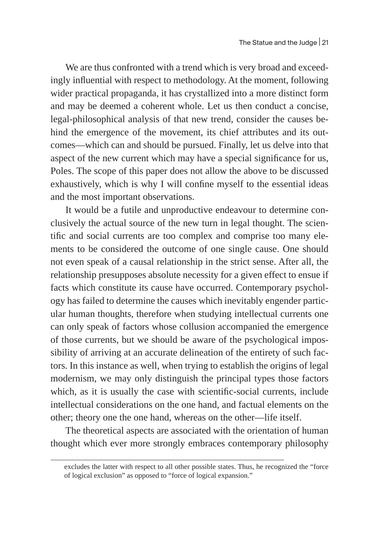We are thus confronted with a trend which is very broad and exceedingly influential with respect to methodology. At the moment, following wider practical propaganda, it has crystallized into a more distinct form and may be deemed a coherent whole. Let us then conduct a concise, legal-philosophical analysis of that new trend, consider the causes behind the emergence of the movement, its chief attributes and its outcomes—which can and should be pursued. Finally, let us delve into that aspect of the new current which may have a special significance for us, Poles. The scope of this paper does not allow the above to be discussed exhaustively, which is why I will confine myself to the essential ideas and the most important observations.

It would be a futile and unproductive endeavour to determine conclusively the actual source of the new turn in legal thought. The scientific and social currents are too complex and comprise too many elements to be considered the outcome of one single cause. One should not even speak of a causal relationship in the strict sense. After all, the relationship presupposes absolute necessity for a given effect to ensue if facts which constitute its cause have occurred. Contemporary psychology has failed to determine the causes which inevitably engender particular human thoughts, therefore when studying intellectual currents one can only speak of factors whose collusion accompanied the emergence of those currents, but we should be aware of the psychological impossibility of arriving at an accurate delineation of the entirety of such factors. In this instance as well, when trying to establish the origins of legal modernism, we may only distinguish the principal types those factors which, as it is usually the case with scientific-social currents, include intellectual considerations on the one hand, and factual elements on the other; theory one the one hand, whereas on the other—life itself.

The theoretical aspects are associated with the orientation of human thought which ever more strongly embraces contemporary philosophy

excludes the latter with respect to all other possible states. Thus, he recognized the "force of logical exclusion" as opposed to "force of logical expansion."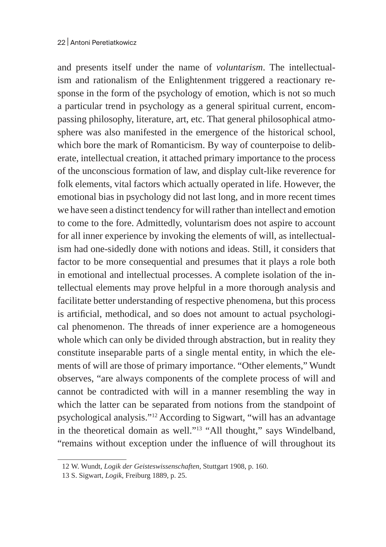and presents itself under the name of *voluntarism*. The intellectualism and rationalism of the Enlightenment triggered a reactionary response in the form of the psychology of emotion, which is not so much a particular trend in psychology as a general spiritual current, encompassing philosophy, literature, art, etc. That general philosophical atmosphere was also manifested in the emergence of the historical school, which bore the mark of Romanticism. By way of counterpoise to deliberate, intellectual creation, it attached primary importance to the process of the unconscious formation of law, and display cult-like reverence for folk elements, vital factors which actually operated in life. However, the emotional bias in psychology did not last long, and in more recent times we have seen a distinct tendency for will rather than intellect and emotion to come to the fore. Admittedly, voluntarism does not aspire to account for all inner experience by invoking the elements of will, as intellectualism had one-sidedly done with notions and ideas. Still, it considers that factor to be more consequential and presumes that it plays a role both in emotional and intellectual processes. A complete isolation of the intellectual elements may prove helpful in a more thorough analysis and facilitate better understanding of respective phenomena, but this process is artificial, methodical, and so does not amount to actual psychological phenomenon. The threads of inner experience are a homogeneous whole which can only be divided through abstraction, but in reality they constitute inseparable parts of a single mental entity, in which the elements of will are those of primary importance. "Other elements," Wundt observes, "are always components of the complete process of will and cannot be contradicted with will in a manner resembling the way in which the latter can be separated from notions from the standpoint of psychological analysis."12 According to Sigwart, "will has an advantage in the theoretical domain as well."13 "All thought," says Windelband, "remains without exception under the influence of will throughout its

<sup>12</sup> W. Wundt, *Logik der Geisteswissenschaften*, Stuttgart 1908, p. 160.

<sup>13</sup> S. Sigwart, *Logik*, Freiburg 1889, p. 25.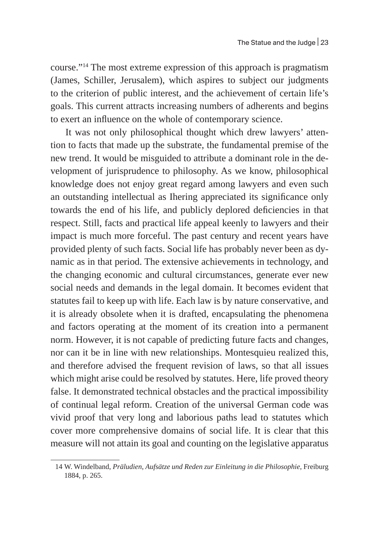course."14 The most extreme expression of this approach is pragmatism (James, Schiller, Jerusalem), which aspires to subject our judgments to the criterion of public interest, and the achievement of certain life's goals. This current attracts increasing numbers of adherents and begins to exert an influence on the whole of contemporary science.

It was not only philosophical thought which drew lawyers' attention to facts that made up the substrate, the fundamental premise of the new trend. It would be misguided to attribute a dominant role in the development of jurisprudence to philosophy. As we know, philosophical knowledge does not enjoy great regard among lawyers and even such an outstanding intellectual as Ihering appreciated its significance only towards the end of his life, and publicly deplored deficiencies in that respect. Still, facts and practical life appeal keenly to lawyers and their impact is much more forceful. The past century and recent years have provided plenty of such facts. Social life has probably never been as dynamic as in that period. The extensive achievements in technology, and the changing economic and cultural circumstances, generate ever new social needs and demands in the legal domain. It becomes evident that statutes fail to keep up with life. Each law is by nature conservative, and it is already obsolete when it is drafted, encapsulating the phenomena and factors operating at the moment of its creation into a permanent norm. However, it is not capable of predicting future facts and changes, nor can it be in line with new relationships. Montesquieu realized this, and therefore advised the frequent revision of laws, so that all issues which might arise could be resolved by statutes. Here, life proved theory false. It demonstrated technical obstacles and the practical impossibility of continual legal reform. Creation of the universal German code was vivid proof that very long and laborious paths lead to statutes which cover more comprehensive domains of social life. It is clear that this measure will not attain its goal and counting on the legislative apparatus

<sup>14</sup> W. Windelband, *Präludien*, *Aufsätze und Reden zur Einleitung in die Philosophie*, Freiburg 1884, p. 265.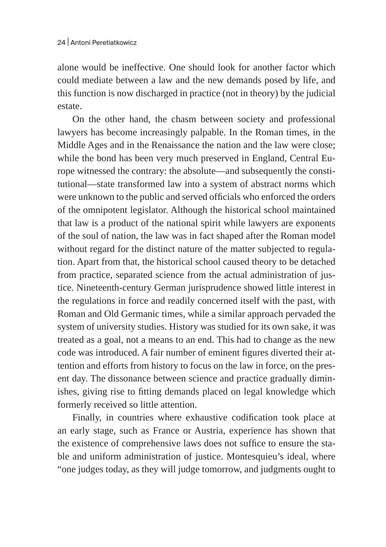alone would be ineffective. One should look for another factor which could mediate between a law and the new demands posed by life, and this function is now discharged in practice (not in theory) by the judicial estate.

On the other hand, the chasm between society and professional lawyers has become increasingly palpable. In the Roman times, in the Middle Ages and in the Renaissance the nation and the law were close; while the bond has been very much preserved in England, Central Europe witnessed the contrary: the absolute—and subsequently the constitutional—state transformed law into a system of abstract norms which were unknown to the public and served officials who enforced the orders of the omnipotent legislator. Although the historical school maintained that law is a product of the national spirit while lawyers are exponents of the soul of nation, the law was in fact shaped after the Roman model without regard for the distinct nature of the matter subjected to regulation. Apart from that, the historical school caused theory to be detached from practice, separated science from the actual administration of justice. Nineteenth-century German jurisprudence showed little interest in the regulations in force and readily concerned itself with the past, with Roman and Old Germanic times, while a similar approach pervaded the system of university studies. History was studied for its own sake, it was treated as a goal, not a means to an end. This had to change as the new code was introduced. A fair number of eminent figures diverted their attention and efforts from history to focus on the law in force, on the present day. The dissonance between science and practice gradually diminishes, giving rise to fitting demands placed on legal knowledge which formerly received so little attention.

Finally, in countries where exhaustive codification took place at an early stage, such as France or Austria, experience has shown that the existence of comprehensive laws does not suffice to ensure the stable and uniform administration of justice. Montesquieu's ideal, where "one judges today, as they will judge tomorrow, and judgments ought to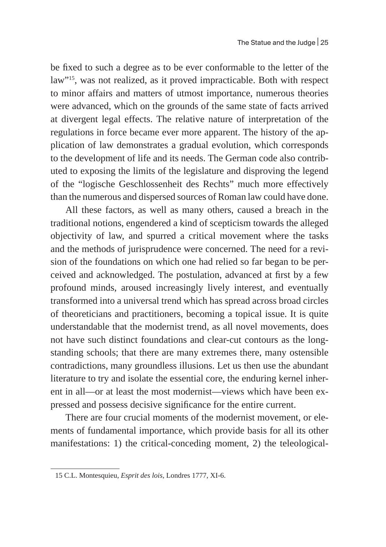be fixed to such a degree as to be ever conformable to the letter of the law"15, was not realized, as it proved impracticable. Both with respect to minor affairs and matters of utmost importance, numerous theories were advanced, which on the grounds of the same state of facts arrived at divergent legal effects. The relative nature of interpretation of the regulations in force became ever more apparent. The history of the application of law demonstrates a gradual evolution, which corresponds to the development of life and its needs. The German code also contributed to exposing the limits of the legislature and disproving the legend of the "logische Geschlossenheit des Rechts" much more effectively than the numerous and dispersed sources of Roman law could have done.

All these factors, as well as many others, caused a breach in the traditional notions, engendered a kind of scepticism towards the alleged objectivity of law, and spurred a critical movement where the tasks and the methods of jurisprudence were concerned. The need for a revision of the foundations on which one had relied so far began to be perceived and acknowledged. The postulation, advanced at first by a few profound minds, aroused increasingly lively interest, and eventually transformed into a universal trend which has spread across broad circles of theoreticians and practitioners, becoming a topical issue. It is quite understandable that the modernist trend, as all novel movements, does not have such distinct foundations and clear-cut contours as the longstanding schools; that there are many extremes there, many ostensible contradictions, many groundless illusions. Let us then use the abundant literature to try and isolate the essential core, the enduring kernel inherent in all—or at least the most modernist—views which have been expressed and possess decisive significance for the entire current.

There are four crucial moments of the modernist movement, or elements of fundamental importance, which provide basis for all its other manifestations: 1) the critical-conceding moment, 2) the teleological-

<sup>15</sup> C.L. Montesquieu, *Esprit des lois*, Londres 1777, XI-6.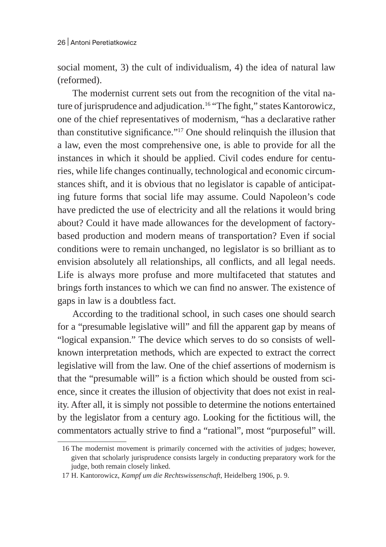social moment, 3) the cult of individualism, 4) the idea of natural law (reformed).

The modernist current sets out from the recognition of the vital nature of jurisprudence and adjudication.<sup>16</sup> "The fight," states Kantorowicz, one of the chief representatives of modernism, "has a declarative rather than constitutive significance."17 One should relinquish the illusion that a law, even the most comprehensive one, is able to provide for all the instances in which it should be applied. Civil codes endure for centuries, while life changes continually, technological and economic circumstances shift, and it is obvious that no legislator is capable of anticipating future forms that social life may assume. Could Napoleon's code have predicted the use of electricity and all the relations it would bring about? Could it have made allowances for the development of factorybased production and modern means of transportation? Even if social conditions were to remain unchanged, no legislator is so brilliant as to envision absolutely all relationships, all conflicts, and all legal needs. Life is always more profuse and more multifaceted that statutes and brings forth instances to which we can find no answer. The existence of gaps in law is a doubtless fact.

According to the traditional school, in such cases one should search for a "presumable legislative will" and fill the apparent gap by means of "logical expansion." The device which serves to do so consists of wellknown interpretation methods, which are expected to extract the correct legislative will from the law. One of the chief assertions of modernism is that the "presumable will" is a fiction which should be ousted from science, since it creates the illusion of objectivity that does not exist in reality. After all, it is simply not possible to determine the notions entertained by the legislator from a century ago. Looking for the fictitious will, the commentators actually strive to find a "rational", most "purposeful" will.

<sup>16</sup> The modernist movement is primarily concerned with the activities of judges; however, given that scholarly jurisprudence consists largely in conducting preparatory work for the judge, both remain closely linked.

<sup>17</sup> H. Kantorowicz, *Kampf um die Rechtswissenschaft*, Heidelberg 1906, p. 9.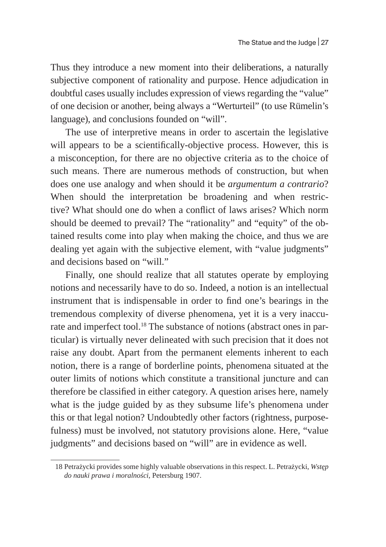Thus they introduce a new moment into their deliberations, a naturally subjective component of rationality and purpose. Hence adjudication in doubtful cases usually includes expression of views regarding the "value" of one decision or another, being always a "Werturteil" (to use Rümelin's language), and conclusions founded on "will".

The use of interpretive means in order to ascertain the legislative will appears to be a scientifically-objective process. However, this is a misconception, for there are no objective criteria as to the choice of such means. There are numerous methods of construction, but when does one use analogy and when should it be *argumentum a contrario*? When should the interpretation be broadening and when restrictive? What should one do when a conflict of laws arises? Which norm should be deemed to prevail? The "rationality" and "equity" of the obtained results come into play when making the choice, and thus we are dealing yet again with the subjective element, with "value judgments" and decisions based on "will."

Finally, one should realize that all statutes operate by employing notions and necessarily have to do so. Indeed, a notion is an intellectual instrument that is indispensable in order to find one's bearings in the tremendous complexity of diverse phenomena, yet it is a very inaccurate and imperfect tool.<sup>18</sup> The substance of notions (abstract ones in particular) is virtually never delineated with such precision that it does not raise any doubt. Apart from the permanent elements inherent to each notion, there is a range of borderline points, phenomena situated at the outer limits of notions which constitute a transitional juncture and can therefore be classified in either category. A question arises here, namely what is the judge guided by as they subsume life's phenomena under this or that legal notion? Undoubtedly other factors (rightness, purposefulness) must be involved, not statutory provisions alone. Here, "value judgments" and decisions based on "will" are in evidence as well.

<sup>18</sup> Petrażycki provides some highly valuable observations in this respect. L. Petrażycki, *Wstęp do nauki prawa i moralności*, Petersburg 1907.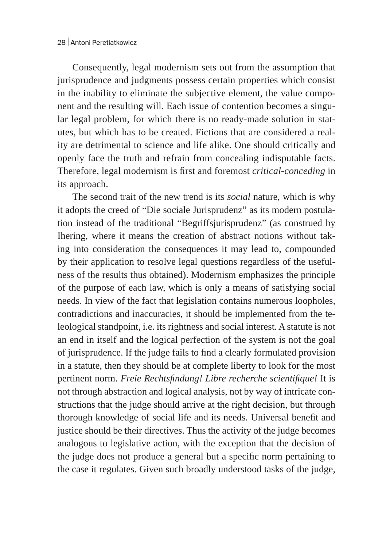Consequently, legal modernism sets out from the assumption that jurisprudence and judgments possess certain properties which consist in the inability to eliminate the subjective element, the value component and the resulting will. Each issue of contention becomes a singular legal problem, for which there is no ready-made solution in statutes, but which has to be created. Fictions that are considered a reality are detrimental to science and life alike. One should critically and openly face the truth and refrain from concealing indisputable facts. Therefore, legal modernism is first and foremost *critical-conceding* in its approach.

The second trait of the new trend is its *social* nature, which is why it adopts the creed of "Die sociale Jurisprudenz" as its modern postulation instead of the traditional "Begriffsjurisprudenz" (as construed by Ihering, where it means the creation of abstract notions without taking into consideration the consequences it may lead to, compounded by their application to resolve legal questions regardless of the usefulness of the results thus obtained). Modernism emphasizes the principle of the purpose of each law, which is only a means of satisfying social needs. In view of the fact that legislation contains numerous loopholes, contradictions and inaccuracies, it should be implemented from the teleological standpoint, i.e. its rightness and social interest. A statute is not an end in itself and the logical perfection of the system is not the goal of jurisprudence. If the judge fails to find a clearly formulated provision in a statute, then they should be at complete liberty to look for the most pertinent norm. *Freie Rechtsfindung! Libre recherche scientifique!* It is not through abstraction and logical analysis, not by way of intricate constructions that the judge should arrive at the right decision, but through thorough knowledge of social life and its needs. Universal benefit and justice should be their directives. Thus the activity of the judge becomes analogous to legislative action, with the exception that the decision of the judge does not produce a general but a specific norm pertaining to the case it regulates. Given such broadly understood tasks of the judge,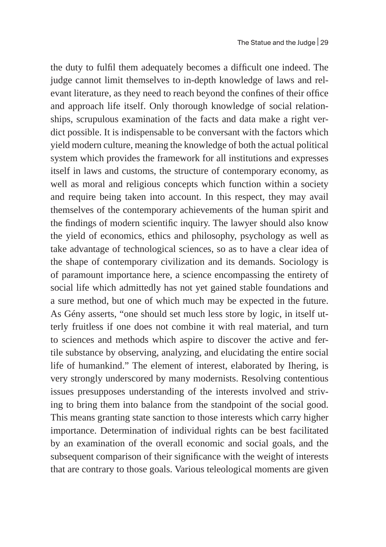the duty to fulfil them adequately becomes a difficult one indeed. The judge cannot limit themselves to in-depth knowledge of laws and relevant literature, as they need to reach beyond the confines of their office and approach life itself. Only thorough knowledge of social relationships, scrupulous examination of the facts and data make a right verdict possible. It is indispensable to be conversant with the factors which yield modern culture, meaning the knowledge of both the actual political system which provides the framework for all institutions and expresses itself in laws and customs, the structure of contemporary economy, as well as moral and religious concepts which function within a society and require being taken into account. In this respect, they may avail themselves of the contemporary achievements of the human spirit and the findings of modern scientific inquiry. The lawyer should also know the yield of economics, ethics and philosophy, psychology as well as take advantage of technological sciences, so as to have a clear idea of the shape of contemporary civilization and its demands. Sociology is of paramount importance here, a science encompassing the entirety of social life which admittedly has not yet gained stable foundations and a sure method, but one of which much may be expected in the future. As Gény asserts, "one should set much less store by logic, in itself utterly fruitless if one does not combine it with real material, and turn to sciences and methods which aspire to discover the active and fertile substance by observing, analyzing, and elucidating the entire social life of humankind." The element of interest, elaborated by Ihering, is very strongly underscored by many modernists. Resolving contentious issues presupposes understanding of the interests involved and striving to bring them into balance from the standpoint of the social good. This means granting state sanction to those interests which carry higher importance. Determination of individual rights can be best facilitated by an examination of the overall economic and social goals, and the subsequent comparison of their significance with the weight of interests that are contrary to those goals. Various teleological moments are given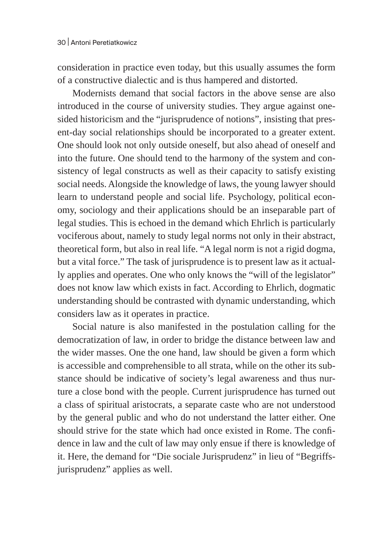consideration in practice even today, but this usually assumes the form of a constructive dialectic and is thus hampered and distorted.

Modernists demand that social factors in the above sense are also introduced in the course of university studies. They argue against onesided historicism and the "jurisprudence of notions", insisting that present-day social relationships should be incorporated to a greater extent. One should look not only outside oneself, but also ahead of oneself and into the future. One should tend to the harmony of the system and consistency of legal constructs as well as their capacity to satisfy existing social needs. Alongside the knowledge of laws, the young lawyer should learn to understand people and social life. Psychology, political economy, sociology and their applications should be an inseparable part of legal studies. This is echoed in the demand which Ehrlich is particularly vociferous about, namely to study legal norms not only in their abstract, theoretical form, but also in real life. "A legal norm is not a rigid dogma, but a vital force." The task of jurisprudence is to present law as it actually applies and operates. One who only knows the "will of the legislator" does not know law which exists in fact. According to Ehrlich, dogmatic understanding should be contrasted with dynamic understanding, which considers law as it operates in practice.

Social nature is also manifested in the postulation calling for the democratization of law, in order to bridge the distance between law and the wider masses. One the one hand, law should be given a form which is accessible and comprehensible to all strata, while on the other its substance should be indicative of society's legal awareness and thus nurture a close bond with the people. Current jurisprudence has turned out a class of spiritual aristocrats, a separate caste who are not understood by the general public and who do not understand the latter either. One should strive for the state which had once existed in Rome. The confidence in law and the cult of law may only ensue if there is knowledge of it. Here, the demand for "Die sociale Jurisprudenz" in lieu of "Begriffsjurisprudenz" applies as well.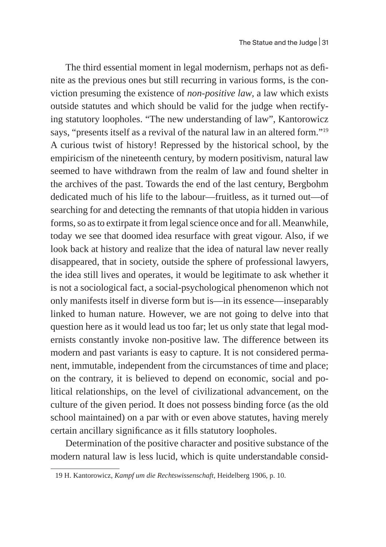The third essential moment in legal modernism, perhaps not as definite as the previous ones but still recurring in various forms, is the conviction presuming the existence of *non-positive law*, a law which exists outside statutes and which should be valid for the judge when rectifying statutory loopholes. "The new understanding of law", Kantorowicz says, "presents itself as a revival of the natural law in an altered form."19 A curious twist of history! Repressed by the historical school, by the empiricism of the nineteenth century, by modern positivism, natural law seemed to have withdrawn from the realm of law and found shelter in the archives of the past. Towards the end of the last century, Bergbohm dedicated much of his life to the labour—fruitless, as it turned out—of searching for and detecting the remnants of that utopia hidden in various forms, so as to extirpate it from legal science once and for all. Meanwhile, today we see that doomed idea resurface with great vigour. Also, if we look back at history and realize that the idea of natural law never really disappeared, that in society, outside the sphere of professional lawyers, the idea still lives and operates, it would be legitimate to ask whether it is not a sociological fact, a social-psychological phenomenon which not only manifests itself in diverse form but is—in its essence—inseparably linked to human nature. However, we are not going to delve into that question here as it would lead us too far; let us only state that legal modernists constantly invoke non-positive law. The difference between its modern and past variants is easy to capture. It is not considered permanent, immutable, independent from the circumstances of time and place; on the contrary, it is believed to depend on economic, social and political relationships, on the level of civilizational advancement, on the culture of the given period. It does not possess binding force (as the old school maintained) on a par with or even above statutes, having merely certain ancillary significance as it fills statutory loopholes.

Determination of the positive character and positive substance of the modern natural law is less lucid, which is quite understandable consid-

<sup>19</sup> H. Kantorowicz, *Kampf um die Rechtswissenschaft*, Heidelberg 1906, p. 10.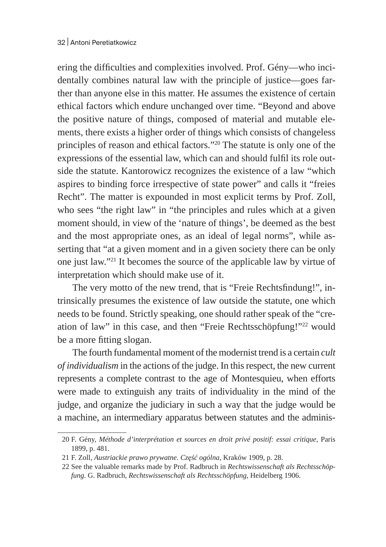ering the difficulties and complexities involved. Prof. Gény—who incidentally combines natural law with the principle of justice—goes farther than anyone else in this matter. He assumes the existence of certain ethical factors which endure unchanged over time. "Beyond and above the positive nature of things, composed of material and mutable elements, there exists a higher order of things which consists of changeless principles of reason and ethical factors."20 The statute is only one of the expressions of the essential law, which can and should fulfil its role outside the statute. Kantorowicz recognizes the existence of a law "which aspires to binding force irrespective of state power" and calls it "freies Recht". The matter is expounded in most explicit terms by Prof. Zoll, who sees "the right law" in "the principles and rules which at a given moment should, in view of the 'nature of things', be deemed as the best and the most appropriate ones, as an ideal of legal norms", while asserting that "at a given moment and in a given society there can be only one just law."21 It becomes the source of the applicable law by virtue of interpretation which should make use of it.

The very motto of the new trend, that is "Freie Rechtsfindung!", intrinsically presumes the existence of law outside the statute, one which needs to be found. Strictly speaking, one should rather speak of the "creation of law" in this case, and then "Freie Rechtsschöpfung!"22 would be a more fitting slogan.

The fourth fundamental moment of the modernist trend is a certain *cult of individualism* in the actions of the judge. In this respect, the new current represents a complete contrast to the age of Montesquieu, when efforts were made to extinguish any traits of individuality in the mind of the judge, and organize the judiciary in such a way that the judge would be a machine, an intermediary apparatus between statutes and the adminis-

<sup>20</sup> F. Gény, *Méthode d'interprétation et sources en droit privé positif: essai critique*, Paris 1899, p. 481.

<sup>21</sup> F. Zoll, *Austriackie prawo prywatne. Część ogólna*, Kraków 1909, p. 28.

<sup>22</sup> See the valuable remarks made by Prof. Radbruch in *Rechtswissenschaft als Rechtsschöpfung*. G. Radbruch, *Rechtswissenschaft als Rechtsschöpfung*, Heidelberg 1906.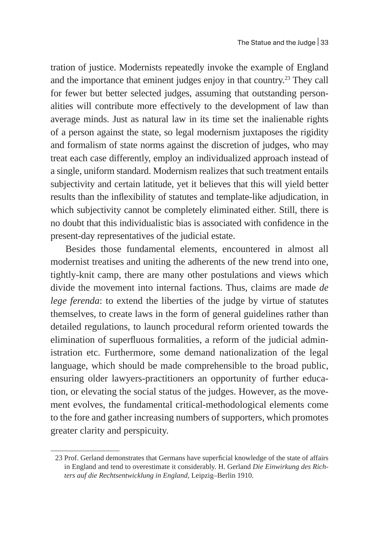tration of justice. Modernists repeatedly invoke the example of England and the importance that eminent judges enjoy in that country.<sup>23</sup> They call for fewer but better selected judges, assuming that outstanding personalities will contribute more effectively to the development of law than average minds. Just as natural law in its time set the inalienable rights of a person against the state, so legal modernism juxtaposes the rigidity and formalism of state norms against the discretion of judges, who may treat each case differently, employ an individualized approach instead of a single, uniform standard. Modernism realizes that such treatment entails subjectivity and certain latitude, yet it believes that this will yield better results than the inflexibility of statutes and template-like adjudication, in which subjectivity cannot be completely eliminated either. Still, there is no doubt that this individualistic bias is associated with confidence in the present-day representatives of the judicial estate.

Besides those fundamental elements, encountered in almost all modernist treatises and uniting the adherents of the new trend into one, tightly-knit camp, there are many other postulations and views which divide the movement into internal factions. Thus, claims are made *de lege ferenda*: to extend the liberties of the judge by virtue of statutes themselves, to create laws in the form of general guidelines rather than detailed regulations, to launch procedural reform oriented towards the elimination of superfluous formalities, a reform of the judicial administration etc. Furthermore, some demand nationalization of the legal language, which should be made comprehensible to the broad public, ensuring older lawyers-practitioners an opportunity of further education, or elevating the social status of the judges. However, as the movement evolves, the fundamental critical-methodological elements come to the fore and gather increasing numbers of supporters, which promotes greater clarity and perspicuity.

<sup>23</sup> Prof. Gerland demonstrates that Germans have superficial knowledge of the state of affairs in England and tend to overestimate it considerably. H. Gerland *Die Einwirkung des Richters auf die Rechtsentwicklung in England*, Leipzig–Berlin 1910.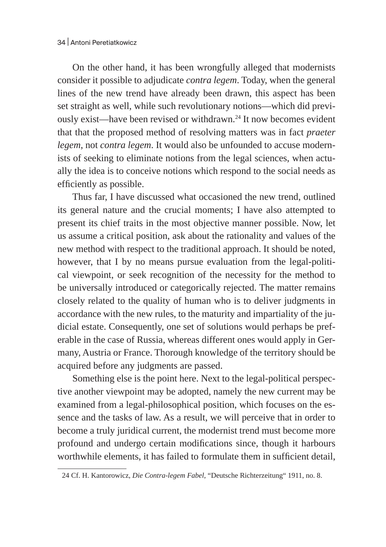On the other hand, it has been wrongfully alleged that modernists consider it possible to adjudicate *contra legem*. Today, when the general lines of the new trend have already been drawn, this aspect has been set straight as well, while such revolutionary notions—which did previously exist—have been revised or withdrawn.<sup>24</sup> It now becomes evident that that the proposed method of resolving matters was in fact *praeter legem*, not *contra legem*. It would also be unfounded to accuse modernists of seeking to eliminate notions from the legal sciences, when actually the idea is to conceive notions which respond to the social needs as efficiently as possible.

Thus far, I have discussed what occasioned the new trend, outlined its general nature and the crucial moments; I have also attempted to present its chief traits in the most objective manner possible. Now, let us assume a critical position, ask about the rationality and values of the new method with respect to the traditional approach. It should be noted, however, that I by no means pursue evaluation from the legal-political viewpoint, or seek recognition of the necessity for the method to be universally introduced or categorically rejected. The matter remains closely related to the quality of human who is to deliver judgments in accordance with the new rules, to the maturity and impartiality of the judicial estate. Consequently, one set of solutions would perhaps be preferable in the case of Russia, whereas different ones would apply in Germany, Austria or France. Thorough knowledge of the territory should be acquired before any judgments are passed.

Something else is the point here. Next to the legal-political perspective another viewpoint may be adopted, namely the new current may be examined from a legal-philosophical position, which focuses on the essence and the tasks of law. As a result, we will perceive that in order to become a truly juridical current, the modernist trend must become more profound and undergo certain modifications since, though it harbours worthwhile elements, it has failed to formulate them in sufficient detail,

<sup>24</sup> Cf. H. Kantorowicz, *Die Contra-legem Fabel*, "Deutsche Richterzeitung" 1911, no. 8.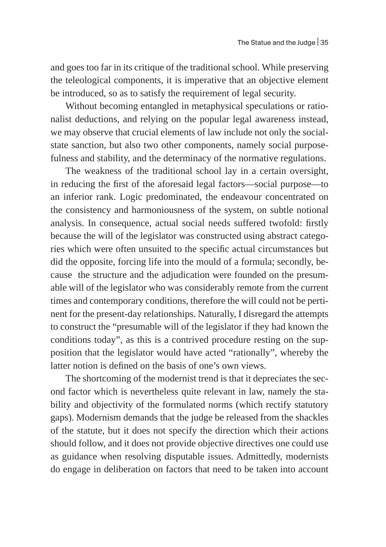and goes too far in its critique of the traditional school. While preserving the teleological components, it is imperative that an objective element be introduced, so as to satisfy the requirement of legal security.

Without becoming entangled in metaphysical speculations or rationalist deductions, and relying on the popular legal awareness instead, we may observe that crucial elements of law include not only the socialstate sanction, but also two other components, namely social purposefulness and stability, and the determinacy of the normative regulations.

The weakness of the traditional school lay in a certain oversight, in reducing the first of the aforesaid legal factors—social purpose—to an inferior rank. Logic predominated, the endeavour concentrated on the consistency and harmoniousness of the system, on subtle notional analysis. In consequence, actual social needs suffered twofold: firstly because the will of the legislator was constructed using abstract categories which were often unsuited to the specific actual circumstances but did the opposite, forcing life into the mould of a formula; secondly, because the structure and the adjudication were founded on the presumable will of the legislator who was considerably remote from the current times and contemporary conditions, therefore the will could not be pertinent for the present-day relationships. Naturally, I disregard the attempts to construct the "presumable will of the legislator if they had known the conditions today", as this is a contrived procedure resting on the supposition that the legislator would have acted "rationally", whereby the latter notion is defined on the basis of one's own views.

The shortcoming of the modernist trend is that it depreciates the second factor which is nevertheless quite relevant in law, namely the stability and objectivity of the formulated norms (which rectify statutory gaps). Modernism demands that the judge be released from the shackles of the statute, but it does not specify the direction which their actions should follow, and it does not provide objective directives one could use as guidance when resolving disputable issues. Admittedly, modernists do engage in deliberation on factors that need to be taken into account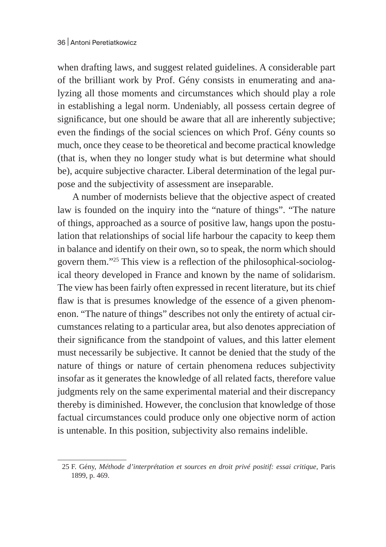when drafting laws, and suggest related guidelines. A considerable part of the brilliant work by Prof. Gény consists in enumerating and analyzing all those moments and circumstances which should play a role in establishing a legal norm. Undeniably, all possess certain degree of significance, but one should be aware that all are inherently subjective; even the findings of the social sciences on which Prof. Gény counts so much, once they cease to be theoretical and become practical knowledge (that is, when they no longer study what is but determine what should be), acquire subjective character. Liberal determination of the legal purpose and the subjectivity of assessment are inseparable.

A number of modernists believe that the objective aspect of created law is founded on the inquiry into the "nature of things". "The nature of things, approached as a source of positive law, hangs upon the postulation that relationships of social life harbour the capacity to keep them in balance and identify on their own, so to speak, the norm which should govern them."25 This view is a reflection of the philosophical-sociological theory developed in France and known by the name of solidarism. The view has been fairly often expressed in recent literature, but its chief flaw is that is presumes knowledge of the essence of a given phenomenon. "The nature of things" describes not only the entirety of actual circumstances relating to a particular area, but also denotes appreciation of their significance from the standpoint of values, and this latter element must necessarily be subjective. It cannot be denied that the study of the nature of things or nature of certain phenomena reduces subjectivity insofar as it generates the knowledge of all related facts, therefore value judgments rely on the same experimental material and their discrepancy thereby is diminished. However, the conclusion that knowledge of those factual circumstances could produce only one objective norm of action is untenable. In this position, subjectivity also remains indelible.

<sup>25</sup> F. Gény, *Méthode d'interprétation et sources en droit privé positif: essai critique*, Paris 1899, p. 469.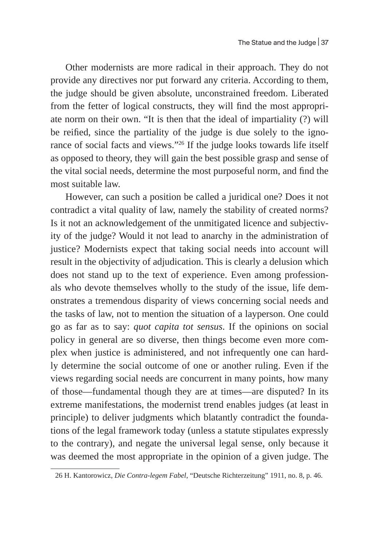Other modernists are more radical in their approach. They do not provide any directives nor put forward any criteria. According to them, the judge should be given absolute, unconstrained freedom. Liberated from the fetter of logical constructs, they will find the most appropriate norm on their own. "It is then that the ideal of impartiality (?) will be reified, since the partiality of the judge is due solely to the ignorance of social facts and views."26 If the judge looks towards life itself as opposed to theory, they will gain the best possible grasp and sense of the vital social needs, determine the most purposeful norm, and find the most suitable law.

However, can such a position be called a juridical one? Does it not contradict a vital quality of law, namely the stability of created norms? Is it not an acknowledgement of the unmitigated licence and subjectivity of the judge? Would it not lead to anarchy in the administration of justice? Modernists expect that taking social needs into account will result in the objectivity of adjudication. This is clearly a delusion which does not stand up to the text of experience. Even among professionals who devote themselves wholly to the study of the issue, life demonstrates a tremendous disparity of views concerning social needs and the tasks of law, not to mention the situation of a layperson. One could go as far as to say: *quot capita tot sensus*. If the opinions on social policy in general are so diverse, then things become even more complex when justice is administered, and not infrequently one can hardly determine the social outcome of one or another ruling. Even if the views regarding social needs are concurrent in many points, how many of those—fundamental though they are at times—are disputed? In its extreme manifestations, the modernist trend enables judges (at least in principle) to deliver judgments which blatantly contradict the foundations of the legal framework today (unless a statute stipulates expressly to the contrary), and negate the universal legal sense, only because it was deemed the most appropriate in the opinion of a given judge. The

<sup>26</sup> H. Kantorowicz, *Die Contra-legem Fabel*, "Deutsche Richterzeitung" 1911, no. 8, p. 46.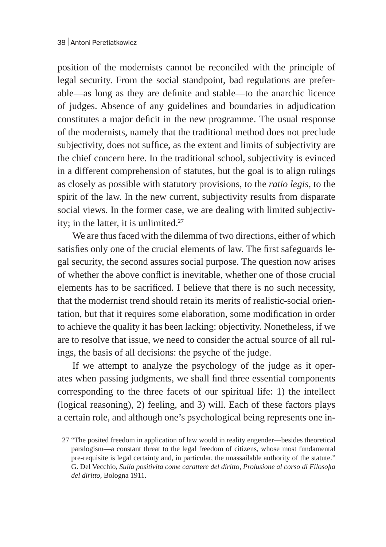position of the modernists cannot be reconciled with the principle of legal security. From the social standpoint, bad regulations are preferable—as long as they are definite and stable—to the anarchic licence of judges. Absence of any guidelines and boundaries in adjudication constitutes a major deficit in the new programme. The usual response of the modernists, namely that the traditional method does not preclude subjectivity, does not suffice, as the extent and limits of subjectivity are the chief concern here. In the traditional school, subjectivity is evinced in a different comprehension of statutes, but the goal is to align rulings as closely as possible with statutory provisions, to the *ratio legis*, to the spirit of the law. In the new current, subjectivity results from disparate social views. In the former case, we are dealing with limited subjectivity; in the latter, it is unlimited.<sup>27</sup>

We are thus faced with the dilemma of two directions, either of which satisfies only one of the crucial elements of law. The first safeguards legal security, the second assures social purpose. The question now arises of whether the above conflict is inevitable, whether one of those crucial elements has to be sacrificed. I believe that there is no such necessity, that the modernist trend should retain its merits of realistic-social orientation, but that it requires some elaboration, some modification in order to achieve the quality it has been lacking: objectivity. Nonetheless, if we are to resolve that issue, we need to consider the actual source of all rulings, the basis of all decisions: the psyche of the judge.

If we attempt to analyze the psychology of the judge as it operates when passing judgments, we shall find three essential components corresponding to the three facets of our spiritual life: 1) the intellect (logical reasoning), 2) feeling, and 3) will. Each of these factors plays a certain role, and although one's psychological being represents one in-

<sup>27</sup> "The posited freedom in application of law would in reality engender—besides theoretical paralogism—a constant threat to the legal freedom of citizens, whose most fundamental pre-requisite is legal certainty and, in particular, the unassailable authority of the statute." G. Del Vecchio, *Sulla positivita come carattere del diritto*, *Prolusione al corso di Filosofia del diritto*, Bologna 1911.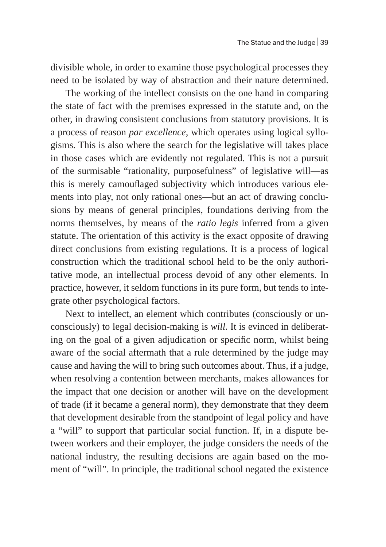divisible whole, in order to examine those psychological processes they need to be isolated by way of abstraction and their nature determined.

The working of the intellect consists on the one hand in comparing the state of fact with the premises expressed in the statute and, on the other, in drawing consistent conclusions from statutory provisions. It is a process of reason *par excellence*, which operates using logical syllogisms. This is also where the search for the legislative will takes place in those cases which are evidently not regulated. This is not a pursuit of the surmisable "rationality, purposefulness" of legislative will—as this is merely camouflaged subjectivity which introduces various elements into play, not only rational ones—but an act of drawing conclusions by means of general principles, foundations deriving from the norms themselves, by means of the *ratio legis* inferred from a given statute. The orientation of this activity is the exact opposite of drawing direct conclusions from existing regulations. It is a process of logical construction which the traditional school held to be the only authoritative mode, an intellectual process devoid of any other elements. In practice, however, it seldom functions in its pure form, but tends to integrate other psychological factors.

Next to intellect, an element which contributes (consciously or unconsciously) to legal decision-making is *will*. It is evinced in deliberating on the goal of a given adjudication or specific norm, whilst being aware of the social aftermath that a rule determined by the judge may cause and having the will to bring such outcomes about. Thus, if a judge, when resolving a contention between merchants, makes allowances for the impact that one decision or another will have on the development of trade (if it became a general norm), they demonstrate that they deem that development desirable from the standpoint of legal policy and have a "will" to support that particular social function. If, in a dispute between workers and their employer, the judge considers the needs of the national industry, the resulting decisions are again based on the moment of "will". In principle, the traditional school negated the existence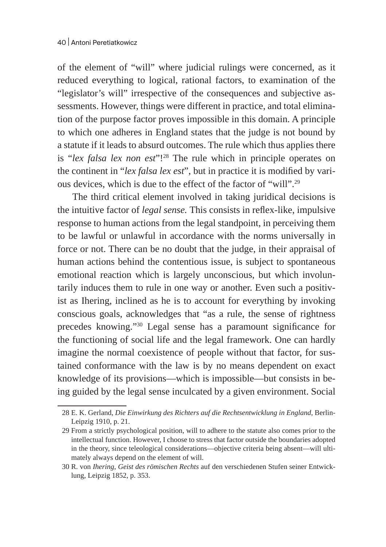of the element of "will" where judicial rulings were concerned, as it reduced everything to logical, rational factors, to examination of the "legislator's will" irrespective of the consequences and subjective assessments. However, things were different in practice, and total elimination of the purpose factor proves impossible in this domain. A principle to which one adheres in England states that the judge is not bound by a statute if it leads to absurd outcomes. The rule which thus applies there is "*lex falsa lex non est*"!<sup>28</sup> The rule which in principle operates on the continent in "*lex falsa lex est*", but in practice it is modified by various devices, which is due to the effect of the factor of "will".29

The third critical element involved in taking juridical decisions is the intuitive factor of *legal sense.* This consists in reflex-like, impulsive response to human actions from the legal standpoint, in perceiving them to be lawful or unlawful in accordance with the norms universally in force or not. There can be no doubt that the judge, in their appraisal of human actions behind the contentious issue, is subject to spontaneous emotional reaction which is largely unconscious, but which involuntarily induces them to rule in one way or another. Even such a positivist as Ihering, inclined as he is to account for everything by invoking conscious goals, acknowledges that "as a rule, the sense of rightness precedes knowing."30 Legal sense has a paramount significance for the functioning of social life and the legal framework. One can hardly imagine the normal coexistence of people without that factor, for sustained conformance with the law is by no means dependent on exact knowledge of its provisions—which is impossible—but consists in being guided by the legal sense inculcated by a given environment. Social

<sup>28</sup> E. K. Gerland, *Die Einwirkung des Richters auf die Rechtsentwicklung in England*, Berlin-Leipzig 1910, p. 21.

<sup>29</sup> From a strictly psychological position, will to adhere to the statute also comes prior to the intellectual function. However, I choose to stress that factor outside the boundaries adopted in the theory, since teleological considerations—objective criteria being absent—will ultimately always depend on the element of will.

<sup>30</sup> R. von *Ihering*, *Geist des römischen Rechts* auf den verschiedenen Stufen seiner Entwicklung, Leipzig 1852, p. 353.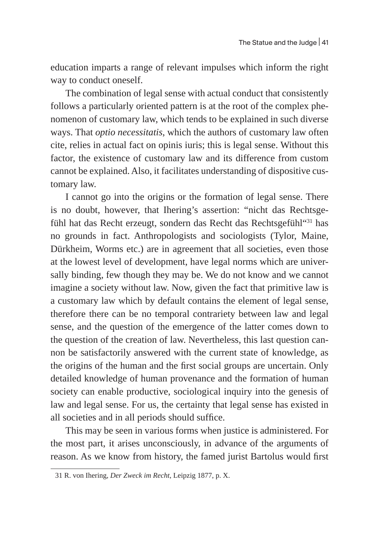education imparts a range of relevant impulses which inform the right way to conduct oneself.

The combination of legal sense with actual conduct that consistently follows a particularly oriented pattern is at the root of the complex phenomenon of customary law, which tends to be explained in such diverse ways. That *optio necessitatis*, which the authors of customary law often cite, relies in actual fact on opinis iuris; this is legal sense. Without this factor, the existence of customary law and its difference from custom cannot be explained. Also, it facilitates understanding of dispositive customary law.

I cannot go into the origins or the formation of legal sense. There is no doubt, however, that Ihering's assertion: "nicht das Rechtsgefühl hat das Recht erzeugt, sondern das Recht das Rechtsgefühl"<sup>31</sup> has no grounds in fact. Anthropologists and sociologists (Tylor, Maine, Dürkheim, Worms etc.) are in agreement that all societies, even those at the lowest level of development, have legal norms which are universally binding, few though they may be. We do not know and we cannot imagine a society without law. Now, given the fact that primitive law is a customary law which by default contains the element of legal sense, therefore there can be no temporal contrariety between law and legal sense, and the question of the emergence of the latter comes down to the question of the creation of law. Nevertheless, this last question cannon be satisfactorily answered with the current state of knowledge, as the origins of the human and the first social groups are uncertain. Only detailed knowledge of human provenance and the formation of human society can enable productive, sociological inquiry into the genesis of law and legal sense. For us, the certainty that legal sense has existed in all societies and in all periods should suffice.

This may be seen in various forms when justice is administered. For the most part, it arises unconsciously, in advance of the arguments of reason. As we know from history, the famed jurist Bartolus would first

<sup>31</sup> R. von Ihering, *Der Zweck im Recht*, Leipzig 1877, p. X.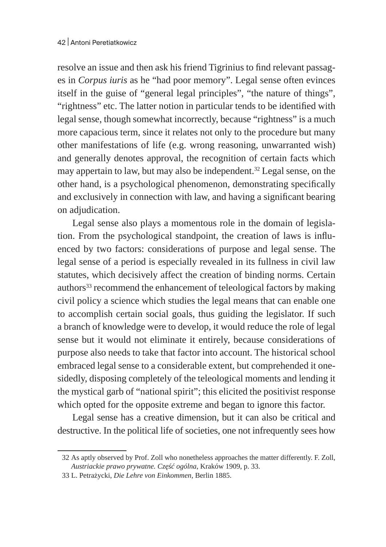resolve an issue and then ask his friend Tigrinius to find relevant passages in *Corpus iuris* as he "had poor memory". Legal sense often evinces itself in the guise of "general legal principles", "the nature of things", "rightness" etc. The latter notion in particular tends to be identified with legal sense, though somewhat incorrectly, because "rightness" is a much more capacious term, since it relates not only to the procedure but many other manifestations of life (e.g. wrong reasoning, unwarranted wish) and generally denotes approval, the recognition of certain facts which may appertain to law, but may also be independent.<sup>32</sup> Legal sense, on the other hand, is a psychological phenomenon, demonstrating specifically and exclusively in connection with law, and having a significant bearing on adjudication.

Legal sense also plays a momentous role in the domain of legislation. From the psychological standpoint, the creation of laws is influenced by two factors: considerations of purpose and legal sense. The legal sense of a period is especially revealed in its fullness in civil law statutes, which decisively affect the creation of binding norms. Certain authors<sup>33</sup> recommend the enhancement of teleological factors by making civil policy a science which studies the legal means that can enable one to accomplish certain social goals, thus guiding the legislator. If such a branch of knowledge were to develop, it would reduce the role of legal sense but it would not eliminate it entirely, because considerations of purpose also needs to take that factor into account. The historical school embraced legal sense to a considerable extent, but comprehended it onesidedly, disposing completely of the teleological moments and lending it the mystical garb of "national spirit"; this elicited the positivist response which opted for the opposite extreme and began to ignore this factor.

Legal sense has a creative dimension, but it can also be critical and destructive. In the political life of societies, one not infrequently sees how

<sup>32</sup> As aptly observed by Prof. Zoll who nonetheless approaches the matter differently. F. Zoll, *Austriackie prawo prywatne. Część ogólna*, Kraków 1909, p. 33.

<sup>33</sup> L. Petrażycki, *Die Lehre von Einkommen*, Berlin 1885.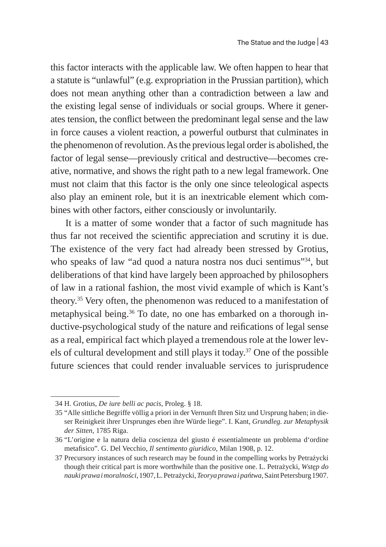this factor interacts with the applicable law. We often happen to hear that a statute is "unlawful" (e.g. expropriation in the Prussian partition), which does not mean anything other than a contradiction between a law and the existing legal sense of individuals or social groups. Where it generates tension, the conflict between the predominant legal sense and the law in force causes a violent reaction, a powerful outburst that culminates in the phenomenon of revolution. As the previous legal order is abolished, the factor of legal sense—previously critical and destructive—becomes creative, normative, and shows the right path to a new legal framework. One must not claim that this factor is the only one since teleological aspects also play an eminent role, but it is an inextricable element which combines with other factors, either consciously or involuntarily.

It is a matter of some wonder that a factor of such magnitude has thus far not received the scientific appreciation and scrutiny it is due. The existence of the very fact had already been stressed by Grotius, who speaks of law "ad quod a natura nostra nos duci sentimus"<sup>34</sup>, but deliberations of that kind have largely been approached by philosophers of law in a rational fashion, the most vivid example of which is Kant's theory.35 Very often, the phenomenon was reduced to a manifestation of metaphysical being.<sup>36</sup> To date, no one has embarked on a thorough inductive-psychological study of the nature and reifications of legal sense as a real, empirical fact which played a tremendous role at the lower levels of cultural development and still plays it today.37 One of the possible future sciences that could render invaluable services to jurisprudence

<sup>34</sup> H. Grotius, *De iure belli ac pacis*, Proleg. § 18.

<sup>35</sup> "Alle sittliche Begriffe völlig a priori in der Vernunft Ihren Sitz und Ursprung haben; in dieser Reinigkeit ihrer Ursprunges eben ihre Würde liege". I. Kant, *Grundleg. zur Metaphysik der Sitten*, 1785 Riga.

<sup>36</sup> "L'origine e la natura delia coscienza del giusto é essentialmente un problema d'ordine metafisico". G. Del Vecchio, *Il sentimento giuridico*, Milan 1908, p. 12.

<sup>37</sup> Precursory instances of such research may be found in the compelling works by Petrażycki though their critical part is more worthwhile than the positive one. L. Petrażycki, *Wstęp do nauki prawa imoralności*, 1907, L.Petrażycki, *Teorya prawa ipańtwa*, Saint Petersburg 1907.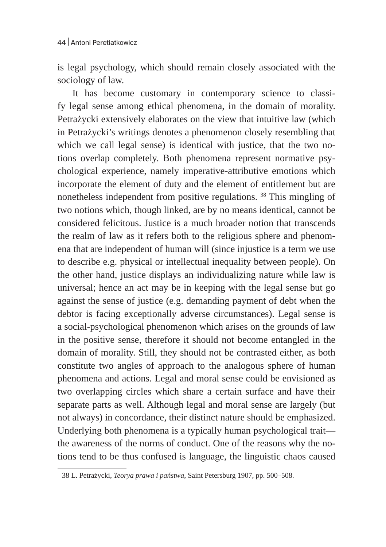is legal psychology, which should remain closely associated with the sociology of law.

It has become customary in contemporary science to classify legal sense among ethical phenomena, in the domain of morality. Petrażycki extensively elaborates on the view that intuitive law (which in Petrażycki's writings denotes a phenomenon closely resembling that which we call legal sense) is identical with justice, that the two notions overlap completely. Both phenomena represent normative psychological experience, namely imperative-attributive emotions which incorporate the element of duty and the element of entitlement but are nonetheless independent from positive regulations. 38 This mingling of two notions which, though linked, are by no means identical, cannot be considered felicitous. Justice is a much broader notion that transcends the realm of law as it refers both to the religious sphere and phenomena that are independent of human will (since injustice is a term we use to describe e.g. physical or intellectual inequality between people). On the other hand, justice displays an individualizing nature while law is universal; hence an act may be in keeping with the legal sense but go against the sense of justice (e.g. demanding payment of debt when the debtor is facing exceptionally adverse circumstances). Legal sense is a social-psychological phenomenon which arises on the grounds of law in the positive sense, therefore it should not become entangled in the domain of morality. Still, they should not be contrasted either, as both constitute two angles of approach to the analogous sphere of human phenomena and actions. Legal and moral sense could be envisioned as two overlapping circles which share a certain surface and have their separate parts as well. Although legal and moral sense are largely (but not always) in concordance, their distinct nature should be emphasized. Underlying both phenomena is a typically human psychological trait the awareness of the norms of conduct. One of the reasons why the notions tend to be thus confused is language, the linguistic chaos caused

<sup>38</sup> L. Petrażycki, *Teorya prawa i państwa*, Saint Petersburg 1907, pp. 500–508.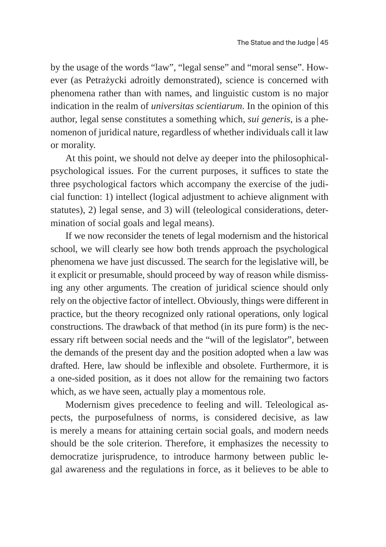by the usage of the words "law", "legal sense" and "moral sense". However (as Petrażycki adroitly demonstrated), science is concerned with phenomena rather than with names, and linguistic custom is no major indication in the realm of *universitas scientiarum*. In the opinion of this author, legal sense constitutes a something which, *sui generis*, is a phenomenon of juridical nature, regardless of whether individuals call it law or morality.

At this point, we should not delve ay deeper into the philosophicalpsychological issues. For the current purposes, it suffices to state the three psychological factors which accompany the exercise of the judicial function: 1) intellect (logical adjustment to achieve alignment with statutes), 2) legal sense, and 3) will (teleological considerations, determination of social goals and legal means).

If we now reconsider the tenets of legal modernism and the historical school, we will clearly see how both trends approach the psychological phenomena we have just discussed. The search for the legislative will, be it explicit or presumable, should proceed by way of reason while dismissing any other arguments. The creation of juridical science should only rely on the objective factor of intellect. Obviously, things were different in practice, but the theory recognized only rational operations, only logical constructions. The drawback of that method (in its pure form) is the necessary rift between social needs and the "will of the legislator", between the demands of the present day and the position adopted when a law was drafted. Here, law should be inflexible and obsolete. Furthermore, it is a one-sided position, as it does not allow for the remaining two factors which, as we have seen, actually play a momentous role.

Modernism gives precedence to feeling and will. Teleological aspects, the purposefulness of norms, is considered decisive, as law is merely a means for attaining certain social goals, and modern needs should be the sole criterion. Therefore, it emphasizes the necessity to democratize jurisprudence, to introduce harmony between public legal awareness and the regulations in force, as it believes to be able to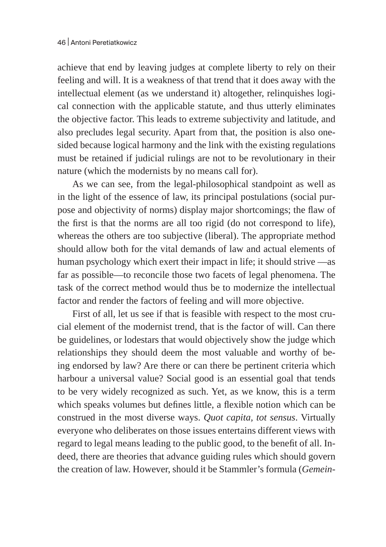achieve that end by leaving judges at complete liberty to rely on their feeling and will. It is a weakness of that trend that it does away with the intellectual element (as we understand it) altogether, relinquishes logical connection with the applicable statute, and thus utterly eliminates the objective factor. This leads to extreme subjectivity and latitude, and also precludes legal security. Apart from that, the position is also onesided because logical harmony and the link with the existing regulations must be retained if judicial rulings are not to be revolutionary in their nature (which the modernists by no means call for).

As we can see, from the legal-philosophical standpoint as well as in the light of the essence of law, its principal postulations (social purpose and objectivity of norms) display major shortcomings; the flaw of the first is that the norms are all too rigid (do not correspond to life), whereas the others are too subjective (liberal). The appropriate method should allow both for the vital demands of law and actual elements of human psychology which exert their impact in life; it should strive —as far as possible—to reconcile those two facets of legal phenomena. The task of the correct method would thus be to modernize the intellectual factor and render the factors of feeling and will more objective.

First of all, let us see if that is feasible with respect to the most crucial element of the modernist trend, that is the factor of will. Can there be guidelines, or lodestars that would objectively show the judge which relationships they should deem the most valuable and worthy of being endorsed by law? Are there or can there be pertinent criteria which harbour a universal value? Social good is an essential goal that tends to be very widely recognized as such. Yet, as we know, this is a term which speaks volumes but defines little, a flexible notion which can be construed in the most diverse ways. *Quot capita, tot sensus*. Virtually everyone who deliberates on those issues entertains different views with regard to legal means leading to the public good, to the benefit of all. Indeed, there are theories that advance guiding rules which should govern the creation of law. However, should it be Stammler's formula (*Gemein-*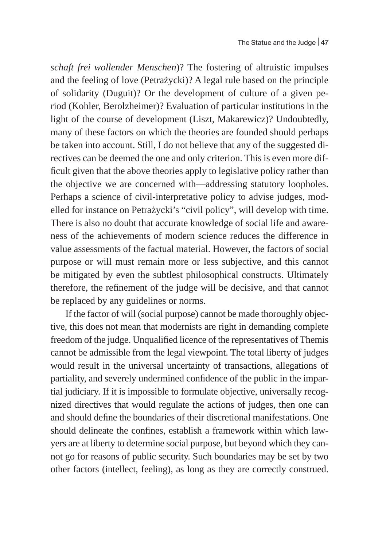*schaft frei wollender Menschen*)? The fostering of altruistic impulses and the feeling of love (Petrażycki)? A legal rule based on the principle of solidarity (Duguit)? Or the development of culture of a given period (Kohler, Berolzheimer)? Evaluation of particular institutions in the light of the course of development (Liszt, Makarewicz)? Undoubtedly, many of these factors on which the theories are founded should perhaps be taken into account. Still, I do not believe that any of the suggested directives can be deemed the one and only criterion. This is even more difficult given that the above theories apply to legislative policy rather than the objective we are concerned with—addressing statutory loopholes. Perhaps a science of civil-interpretative policy to advise judges, modelled for instance on Petrażycki's "civil policy", will develop with time. There is also no doubt that accurate knowledge of social life and awareness of the achievements of modern science reduces the difference in value assessments of the factual material. However, the factors of social purpose or will must remain more or less subjective, and this cannot be mitigated by even the subtlest philosophical constructs. Ultimately therefore, the refinement of the judge will be decisive, and that cannot be replaced by any guidelines or norms.

If the factor of will (social purpose) cannot be made thoroughly objective, this does not mean that modernists are right in demanding complete freedom of the judge. Unqualified licence of the representatives of Themis cannot be admissible from the legal viewpoint. The total liberty of judges would result in the universal uncertainty of transactions, allegations of partiality, and severely undermined confidence of the public in the impartial judiciary. If it is impossible to formulate objective, universally recognized directives that would regulate the actions of judges, then one can and should define the boundaries of their discretional manifestations. One should delineate the confines, establish a framework within which lawyers are at liberty to determine social purpose, but beyond which they cannot go for reasons of public security. Such boundaries may be set by two other factors (intellect, feeling), as long as they are correctly construed.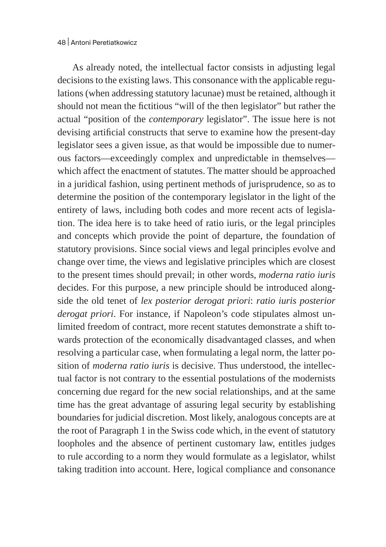As already noted, the intellectual factor consists in adjusting legal decisions to the existing laws. This consonance with the applicable regulations (when addressing statutory lacunae) must be retained, although it should not mean the fictitious "will of the then legislator" but rather the actual "position of the *contemporary* legislator". The issue here is not devising artificial constructs that serve to examine how the present-day legislator sees a given issue, as that would be impossible due to numerous factors—exceedingly complex and unpredictable in themselves which affect the enactment of statutes. The matter should be approached in a juridical fashion, using pertinent methods of jurisprudence, so as to determine the position of the contemporary legislator in the light of the entirety of laws, including both codes and more recent acts of legislation. The idea here is to take heed of ratio iuris, or the legal principles and concepts which provide the point of departure, the foundation of statutory provisions. Since social views and legal principles evolve and change over time, the views and legislative principles which are closest to the present times should prevail; in other words, *moderna ratio iuris* decides. For this purpose, a new principle should be introduced alongside the old tenet of *lex posterior derogat priori*: *ratio iuris posterior derogat priori*. For instance, if Napoleon's code stipulates almost unlimited freedom of contract, more recent statutes demonstrate a shift towards protection of the economically disadvantaged classes, and when resolving a particular case, when formulating a legal norm, the latter position of *moderna ratio iuris* is decisive. Thus understood, the intellectual factor is not contrary to the essential postulations of the modernists concerning due regard for the new social relationships, and at the same time has the great advantage of assuring legal security by establishing boundaries for judicial discretion. Most likely, analogous concepts are at the root of Paragraph 1 in the Swiss code which, in the event of statutory loopholes and the absence of pertinent customary law, entitles judges to rule according to a norm they would formulate as a legislator, whilst taking tradition into account. Here, logical compliance and consonance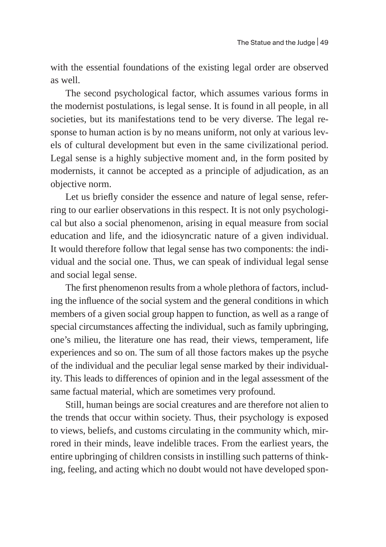with the essential foundations of the existing legal order are observed as well.

The second psychological factor, which assumes various forms in the modernist postulations, is legal sense. It is found in all people, in all societies, but its manifestations tend to be very diverse. The legal response to human action is by no means uniform, not only at various levels of cultural development but even in the same civilizational period. Legal sense is a highly subjective moment and, in the form posited by modernists, it cannot be accepted as a principle of adjudication, as an objective norm.

Let us briefly consider the essence and nature of legal sense, referring to our earlier observations in this respect. It is not only psychological but also a social phenomenon, arising in equal measure from social education and life, and the idiosyncratic nature of a given individual. It would therefore follow that legal sense has two components: the individual and the social one. Thus, we can speak of individual legal sense and social legal sense.

The first phenomenon results from a whole plethora of factors, including the influence of the social system and the general conditions in which members of a given social group happen to function, as well as a range of special circumstances affecting the individual, such as family upbringing, one's milieu, the literature one has read, their views, temperament, life experiences and so on. The sum of all those factors makes up the psyche of the individual and the peculiar legal sense marked by their individuality. This leads to differences of opinion and in the legal assessment of the same factual material, which are sometimes very profound.

Still, human beings are social creatures and are therefore not alien to the trends that occur within society. Thus, their psychology is exposed to views, beliefs, and customs circulating in the community which, mirrored in their minds, leave indelible traces. From the earliest years, the entire upbringing of children consists in instilling such patterns of thinking, feeling, and acting which no doubt would not have developed spon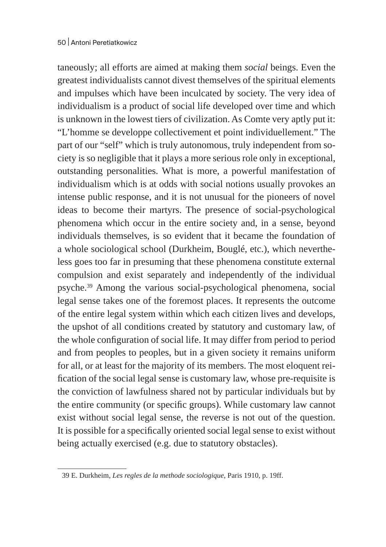taneously; all efforts are aimed at making them *social* beings. Even the greatest individualists cannot divest themselves of the spiritual elements and impulses which have been inculcated by society. The very idea of individualism is a product of social life developed over time and which is unknown in the lowest tiers of civilization. As Comte very aptly put it: "L'homme se developpe collectivement et point individuellement." The part of our "self" which is truly autonomous, truly independent from society is so negligible that it plays a more serious role only in exceptional, outstanding personalities. What is more, a powerful manifestation of individualism which is at odds with social notions usually provokes an intense public response, and it is not unusual for the pioneers of novel ideas to become their martyrs. The presence of social-psychological phenomena which occur in the entire society and, in a sense, beyond individuals themselves, is so evident that it became the foundation of a whole sociological school (Durkheim, Bouglé, etc.), which nevertheless goes too far in presuming that these phenomena constitute external compulsion and exist separately and independently of the individual psyche.39 Among the various social-psychological phenomena, social legal sense takes one of the foremost places. It represents the outcome of the entire legal system within which each citizen lives and develops, the upshot of all conditions created by statutory and customary law, of the whole configuration of social life. It may differ from period to period and from peoples to peoples, but in a given society it remains uniform for all, or at least for the majority of its members. The most eloquent reification of the social legal sense is customary law, whose pre-requisite is the conviction of lawfulness shared not by particular individuals but by the entire community (or specific groups). While customary law cannot exist without social legal sense, the reverse is not out of the question. It is possible for a specifically oriented social legal sense to exist without being actually exercised (e.g. due to statutory obstacles).

<sup>39</sup> E. Durkheim, *Les regles de la methode sociologique*, Paris 1910, p. 19ff.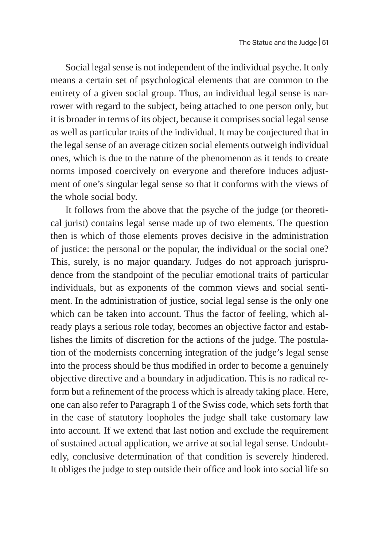Social legal sense is not independent of the individual psyche. It only means a certain set of psychological elements that are common to the entirety of a given social group. Thus, an individual legal sense is narrower with regard to the subject, being attached to one person only, but it is broader in terms of its object, because it comprises social legal sense as well as particular traits of the individual. It may be conjectured that in the legal sense of an average citizen social elements outweigh individual ones, which is due to the nature of the phenomenon as it tends to create norms imposed coercively on everyone and therefore induces adjustment of one's singular legal sense so that it conforms with the views of the whole social body.

It follows from the above that the psyche of the judge (or theoretical jurist) contains legal sense made up of two elements. The question then is which of those elements proves decisive in the administration of justice: the personal or the popular, the individual or the social one? This, surely, is no major quandary. Judges do not approach jurisprudence from the standpoint of the peculiar emotional traits of particular individuals, but as exponents of the common views and social sentiment. In the administration of justice, social legal sense is the only one which can be taken into account. Thus the factor of feeling, which already plays a serious role today, becomes an objective factor and establishes the limits of discretion for the actions of the judge. The postulation of the modernists concerning integration of the judge's legal sense into the process should be thus modified in order to become a genuinely objective directive and a boundary in adjudication. This is no radical reform but a refinement of the process which is already taking place. Here, one can also refer to Paragraph 1 of the Swiss code, which sets forth that in the case of statutory loopholes the judge shall take customary law into account. If we extend that last notion and exclude the requirement of sustained actual application, we arrive at social legal sense. Undoubtedly, conclusive determination of that condition is severely hindered. It obliges the judge to step outside their office and look into social life so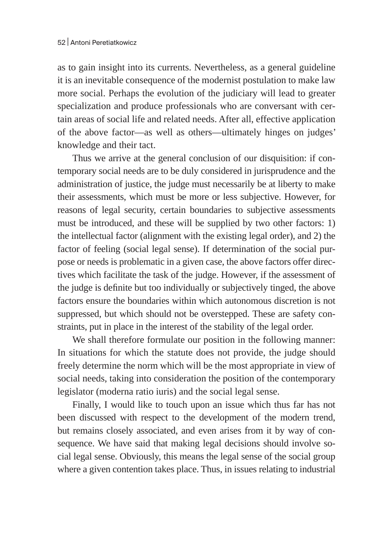as to gain insight into its currents. Nevertheless, as a general guideline it is an inevitable consequence of the modernist postulation to make law more social. Perhaps the evolution of the judiciary will lead to greater specialization and produce professionals who are conversant with certain areas of social life and related needs. After all, effective application of the above factor—as well as others—ultimately hinges on judges' knowledge and their tact.

Thus we arrive at the general conclusion of our disquisition: if contemporary social needs are to be duly considered in jurisprudence and the administration of justice, the judge must necessarily be at liberty to make their assessments, which must be more or less subjective. However, for reasons of legal security, certain boundaries to subjective assessments must be introduced, and these will be supplied by two other factors: 1) the intellectual factor (alignment with the existing legal order), and 2) the factor of feeling (social legal sense). If determination of the social purpose or needs is problematic in a given case, the above factors offer directives which facilitate the task of the judge. However, if the assessment of the judge is definite but too individually or subjectively tinged, the above factors ensure the boundaries within which autonomous discretion is not suppressed, but which should not be overstepped. These are safety constraints, put in place in the interest of the stability of the legal order.

We shall therefore formulate our position in the following manner: In situations for which the statute does not provide, the judge should freely determine the norm which will be the most appropriate in view of social needs, taking into consideration the position of the contemporary legislator (moderna ratio iuris) and the social legal sense.

Finally, I would like to touch upon an issue which thus far has not been discussed with respect to the development of the modern trend, but remains closely associated, and even arises from it by way of consequence. We have said that making legal decisions should involve social legal sense. Obviously, this means the legal sense of the social group where a given contention takes place. Thus, in issues relating to industrial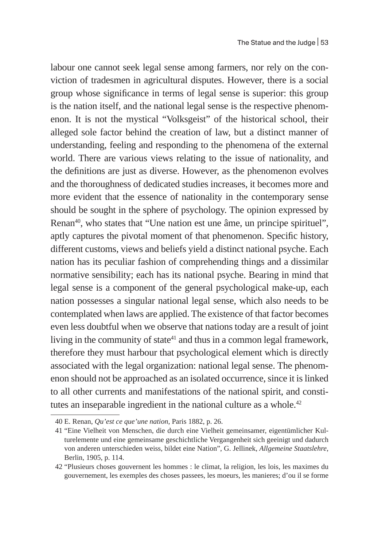labour one cannot seek legal sense among farmers, nor rely on the conviction of tradesmen in agricultural disputes. However, there is a social group whose significance in terms of legal sense is superior: this group is the nation itself, and the national legal sense is the respective phenomenon. It is not the mystical "Volksgeist" of the historical school, their alleged sole factor behind the creation of law, but a distinct manner of understanding, feeling and responding to the phenomena of the external world. There are various views relating to the issue of nationality, and the definitions are just as diverse. However, as the phenomenon evolves and the thoroughness of dedicated studies increases, it becomes more and more evident that the essence of nationality in the contemporary sense should be sought in the sphere of psychology. The opinion expressed by Renan<sup>40</sup>, who states that "Une nation est une âme, un principe spirituel", aptly captures the pivotal moment of that phenomenon. Specific history, different customs, views and beliefs yield a distinct national psyche. Each nation has its peculiar fashion of comprehending things and a dissimilar normative sensibility; each has its national psyche. Bearing in mind that legal sense is a component of the general psychological make-up, each nation possesses a singular national legal sense, which also needs to be contemplated when laws are applied. The existence of that factor becomes even less doubtful when we observe that nations today are a result of joint living in the community of state $41$  and thus in a common legal framework, therefore they must harbour that psychological element which is directly associated with the legal organization: national legal sense. The phenomenon should not be approached as an isolated occurrence, since it is linked to all other currents and manifestations of the national spirit, and constitutes an inseparable ingredient in the national culture as a whole.<sup>42</sup>

<sup>40</sup> E. Renan, *Qu'est ce que'une nation*, Paris 1882, p. 26.

<sup>41</sup> "Eine Vielheit von Menschen, die durch eine Vielheit gemeinsamer, eigentümlicher Kulturelemente und eine gemeinsame geschichtliche Vergangenheit sich geeinigt und dadurch von anderen unterschieden weiss, bildet eine Nation", G. Jellinek, *Allgemeine Staatslehre*, Berlin, 1905, p. 114.

<sup>42</sup> "Plusieurs choses gouvernent les hommes : le climat, la religion, les lois, les maximes du gouvernement, les exemples des choses passees, les moeurs, les manieres; d'ou il se forme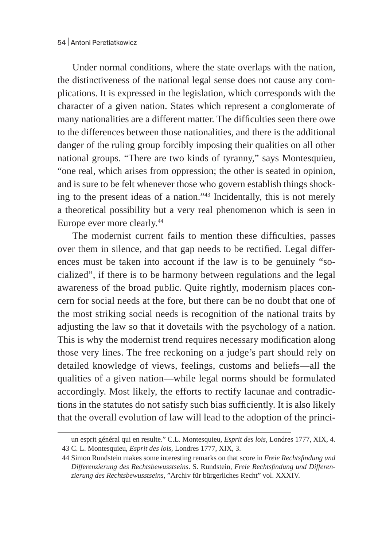Under normal conditions, where the state overlaps with the nation, the distinctiveness of the national legal sense does not cause any complications. It is expressed in the legislation, which corresponds with the character of a given nation. States which represent a conglomerate of many nationalities are a different matter. The difficulties seen there owe to the differences between those nationalities, and there is the additional danger of the ruling group forcibly imposing their qualities on all other national groups. "There are two kinds of tyranny," says Montesquieu, "one real, which arises from oppression; the other is seated in opinion, and is sure to be felt whenever those who govern establish things shocking to the present ideas of a nation."43 Incidentally, this is not merely a theoretical possibility but a very real phenomenon which is seen in Europe ever more clearly.<sup>44</sup>

The modernist current fails to mention these difficulties, passes over them in silence, and that gap needs to be rectified. Legal differences must be taken into account if the law is to be genuinely "socialized", if there is to be harmony between regulations and the legal awareness of the broad public. Quite rightly, modernism places concern for social needs at the fore, but there can be no doubt that one of the most striking social needs is recognition of the national traits by adjusting the law so that it dovetails with the psychology of a nation. This is why the modernist trend requires necessary modification along those very lines. The free reckoning on a judge's part should rely on detailed knowledge of views, feelings, customs and beliefs—all the qualities of a given nation—while legal norms should be formulated accordingly. Most likely, the efforts to rectify lacunae and contradictions in the statutes do not satisfy such bias sufficiently. It is also likely that the overall evolution of law will lead to the adoption of the princi-

un esprit général qui en resulte." C.L. Montesquieu, *Esprit des lois*, Londres 1777, XIX, 4. 43 C. L. Montesquieu, *Esprit des lois*, Londres 1777, XIX, 3.

<sup>44</sup> Simon Rundstein makes some interesting remarks on that score in *Freie Rechtsfindung und Differenzierung des Rechtsbewusstseins*. S. Rundstein, *Freie Rechtsfindung und Differenzierung des Rechtsbewusstseins*, "Archiv für bürgerliches Recht" vol. XXXIV.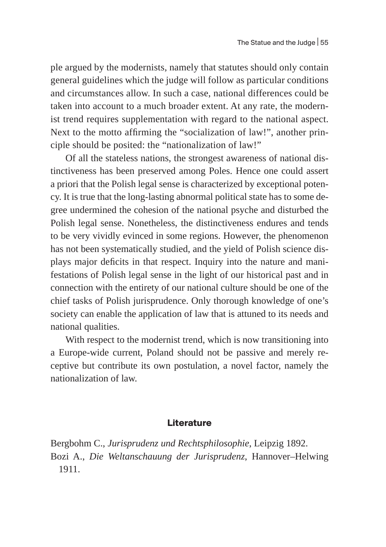ple argued by the modernists, namely that statutes should only contain general guidelines which the judge will follow as particular conditions and circumstances allow. In such a case, national differences could be taken into account to a much broader extent. At any rate, the modernist trend requires supplementation with regard to the national aspect. Next to the motto affirming the "socialization of law!", another principle should be posited: the "nationalization of law!"

Of all the stateless nations, the strongest awareness of national distinctiveness has been preserved among Poles. Hence one could assert a priori that the Polish legal sense is characterized by exceptional potency. It is true that the long-lasting abnormal political state has to some degree undermined the cohesion of the national psyche and disturbed the Polish legal sense. Nonetheless, the distinctiveness endures and tends to be very vividly evinced in some regions. However, the phenomenon has not been systematically studied, and the yield of Polish science displays major deficits in that respect. Inquiry into the nature and manifestations of Polish legal sense in the light of our historical past and in connection with the entirety of our national culture should be one of the chief tasks of Polish jurisprudence. Only thorough knowledge of one's society can enable the application of law that is attuned to its needs and national qualities.

With respect to the modernist trend, which is now transitioning into a Europe-wide current, Poland should not be passive and merely receptive but contribute its own postulation, a novel factor, namely the nationalization of law.

## **Literature**

Bergbohm C., *Jurisprudenz und Rechtsphilosophie*, Leipzig 1892. Bozi A., *Die Weltanschauung der Jurisprudenz*, Hannover–Helwing 1911.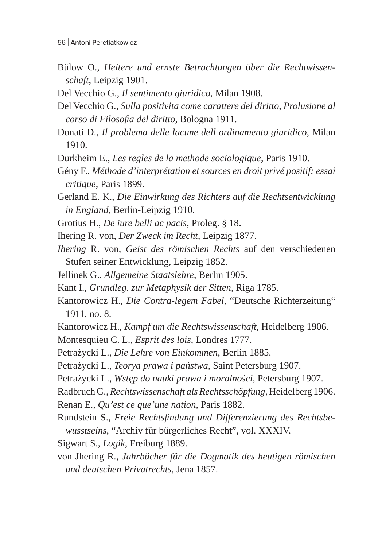- Bülow O., *Heitere und ernste Betrachtungen* ü*ber die Rechtwissenschaft*, Leipzig 1901.
- Del Vecchio G., *Il sentimento giuridico*, Milan 1908.
- Del Vecchio G., *Sulla positivita come carattere del diritto*, *Prolusione al corso di Filosofia del diritto*, Bologna 1911.
- Donati D., *Il problema delle lacune dell ordinamento giuridico*, Milan 1910.
- Durkheim E., *Les regles de la methode sociologique*, Paris 1910.
- Gény F., *Méthode d'interprétation et sources en droit privé positif: essai critique*, Paris 1899.
- Gerland E. K., *Die Einwirkung des Richters auf die Rechtsentwicklung in England*, Berlin-Leipzig 1910.
- Grotius H., *De iure belli ac pacis*, Proleg. § 18.
- Ihering R. von, *Der Zweck im Recht*, Leipzig 1877.
- *Ihering* R. von, *Geist des römischen Rechts* auf den verschiedenen Stufen seiner Entwicklung, Leipzig 1852.
- Jellinek G., *Allgemeine Staatslehre*, Berlin 1905.
- Kant I., *Grundleg. zur Metaphysik der Sitten*, Riga 1785.
- Kantorowicz H., *Die Contra-legem Fabel*, "Deutsche Richterzeitung" 1911, no. 8.
- Kantorowicz H., *Kampf um die Rechtswissenschaft*, Heidelberg 1906.
- Montesquieu C. L., *Esprit des lois*, Londres 1777.
- Petrażycki L., *Die Lehre von Einkommen*, Berlin 1885.
- Petrażycki L., *Teorya prawa i państwa*, Saint Petersburg 1907.
- Petrażycki L., *Wstęp do nauki prawa i moralności*, Petersburg 1907.
- Radbruch G., *Rechtswissenschaft als Rechtsschöpfung*, Heidelberg 1906.
- Renan E., *Qu'est ce que'une nation*, Paris 1882.
- Rundstein S., *Freie Rechtsfindung und Differenzierung des Rechtsbewusstseins*, "Archiv für bürgerliches Recht", vol. XXXIV.
- Sigwart S., *Logik*, Freiburg 1889.
- von Jhering R., *Jahrbücher für die Dogmatik des heutigen römischen und deutschen Privatrechts*, Jena 1857.